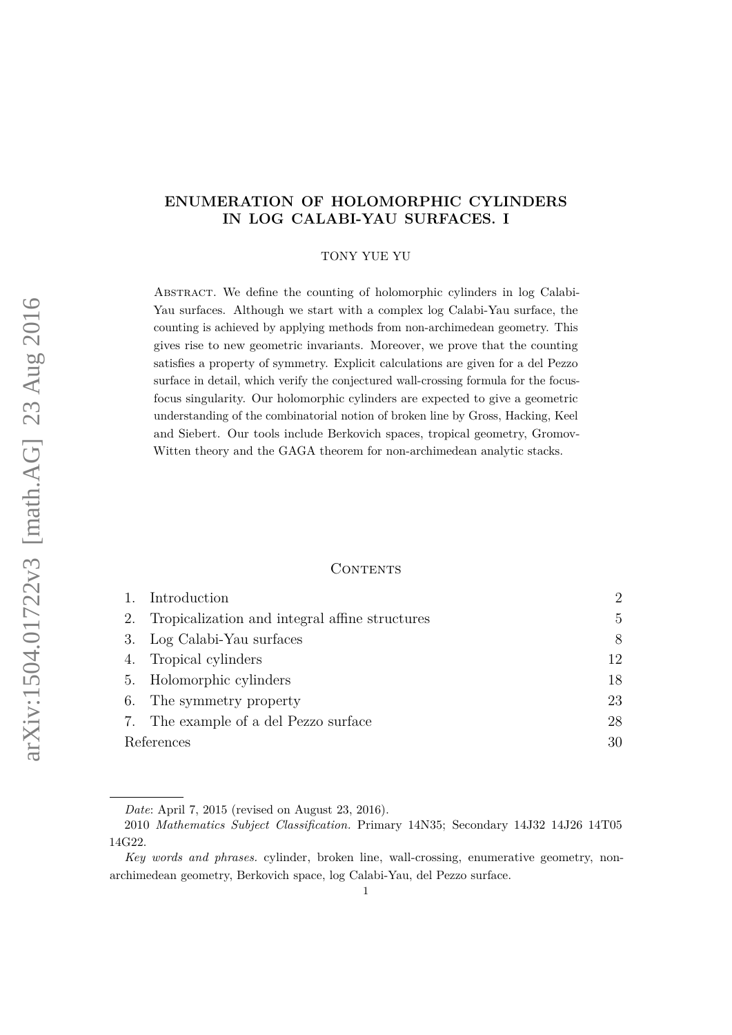## **ENUMERATION OF HOLOMORPHIC CYLINDERS IN LOG CALABI-YAU SURFACES. I**

TONY YUE YU

Abstract. We define the counting of holomorphic cylinders in log Calabi-Yau surfaces. Although we start with a complex log Calabi-Yau surface, the counting is achieved by applying methods from non-archimedean geometry. This gives rise to new geometric invariants. Moreover, we prove that the counting satisfies a property of symmetry. Explicit calculations are given for a del Pezzo surface in detail, which verify the conjectured wall-crossing formula for the focusfocus singularity. Our holomorphic cylinders are expected to give a geometric understanding of the combinatorial notion of broken line by Gross, Hacking, Keel and Siebert. Our tools include Berkovich spaces, tropical geometry, Gromov-Witten theory and the GAGA theorem for non-archimedean analytic stacks.

#### **CONTENTS**

|            | Introduction                                   | $\mathcal{D}_{\mathcal{L}}$ |
|------------|------------------------------------------------|-----------------------------|
| 2.         | Tropicalization and integral affine structures | $\mathbf{5}$                |
| 3.         | Log Calabi-Yau surfaces                        | 8                           |
| 4.         | Tropical cylinders                             | 12                          |
| 5.         | Holomorphic cylinders                          | 18                          |
| 6.         | The symmetry property                          | 23                          |
| 7.         | The example of a del Pezzo surface             | 28                          |
| References |                                                | 30                          |

*Date*: April 7, 2015 (revised on August 23, 2016).

<sup>2010</sup> *Mathematics Subject Classification.* Primary 14N35; Secondary 14J32 14J26 14T05 14G22.

*Key words and phrases.* cylinder, broken line, wall-crossing, enumerative geometry, nonarchimedean geometry, Berkovich space, log Calabi-Yau, del Pezzo surface.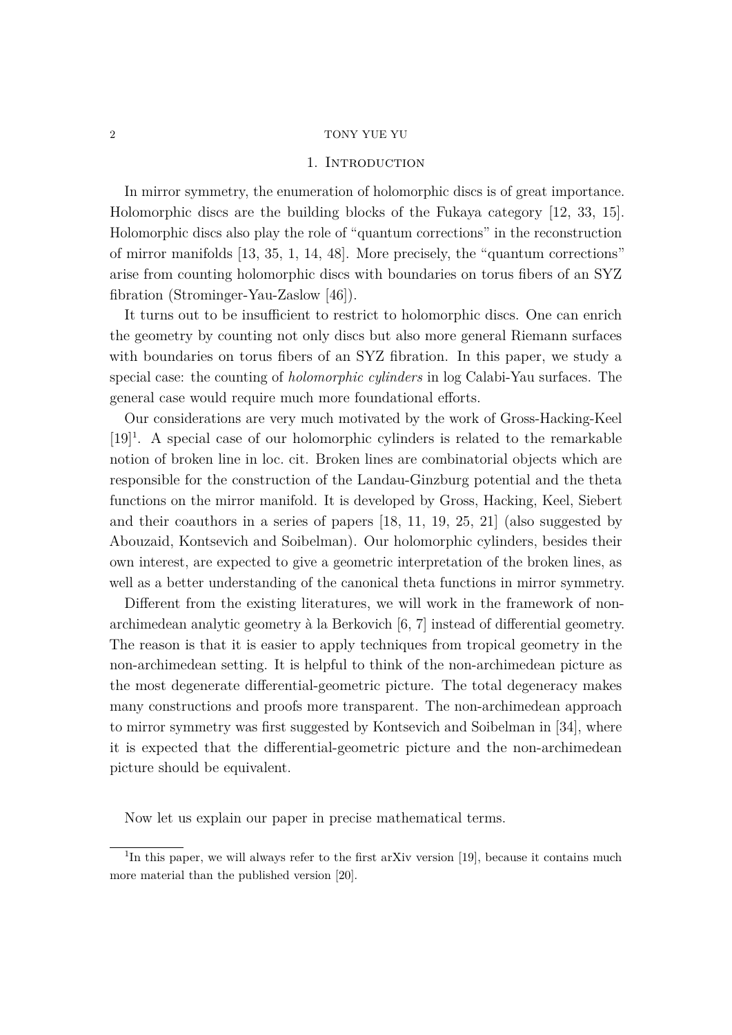## 1. INTRODUCTION

<span id="page-1-0"></span>In mirror symmetry, the enumeration of holomorphic discs is of great importance. Holomorphic discs are the building blocks of the Fukaya category [\[12,](#page-30-0) [33,](#page-31-0) [15\]](#page-30-1). Holomorphic discs also play the role of "quantum corrections" in the reconstruction of mirror manifolds [\[13,](#page-30-2) [35,](#page-31-1) [1,](#page-29-1) [14,](#page-30-3) [48\]](#page-32-0). More precisely, the "quantum corrections" arise from counting holomorphic discs with boundaries on torus fibers of an SYZ fibration (Strominger-Yau-Zaslow [\[46\]](#page-32-1)).

It turns out to be insufficient to restrict to holomorphic discs. One can enrich the geometry by counting not only discs but also more general Riemann surfaces with boundaries on torus fibers of an SYZ fibration. In this paper, we study a special case: the counting of *holomorphic cylinders* in log Calabi-Yau surfaces. The general case would require much more foundational efforts.

Our considerations are very much motivated by the work of Gross-Hacking-Keel [\[19\]](#page-31-2)<sup>[1](#page-1-1)</sup>. A special case of our holomorphic cylinders is related to the remarkable notion of broken line in loc. cit. Broken lines are combinatorial objects which are responsible for the construction of the Landau-Ginzburg potential and the theta functions on the mirror manifold. It is developed by Gross, Hacking, Keel, Siebert and their coauthors in a series of papers [\[18,](#page-30-4) [11,](#page-30-5) [19,](#page-31-2) [25,](#page-31-3) [21\]](#page-31-4) (also suggested by Abouzaid, Kontsevich and Soibelman). Our holomorphic cylinders, besides their own interest, are expected to give a geometric interpretation of the broken lines, as well as a better understanding of the canonical theta functions in mirror symmetry.

Different from the existing literatures, we will work in the framework of nonarchimedean analytic geometry à la Berkovich [\[6,](#page-30-6) [7\]](#page-30-7) instead of differential geometry. The reason is that it is easier to apply techniques from tropical geometry in the non-archimedean setting. It is helpful to think of the non-archimedean picture as the most degenerate differential-geometric picture. The total degeneracy makes many constructions and proofs more transparent. The non-archimedean approach to mirror symmetry was first suggested by Kontsevich and Soibelman in [\[34\]](#page-31-5), where it is expected that the differential-geometric picture and the non-archimedean picture should be equivalent.

Now let us explain our paper in precise mathematical terms.

<span id="page-1-1"></span><sup>&</sup>lt;sup>1</sup>In this paper, we will always refer to the first arXiv version [\[19\]](#page-31-2), because it contains much more material than the published version [\[20\]](#page-31-6).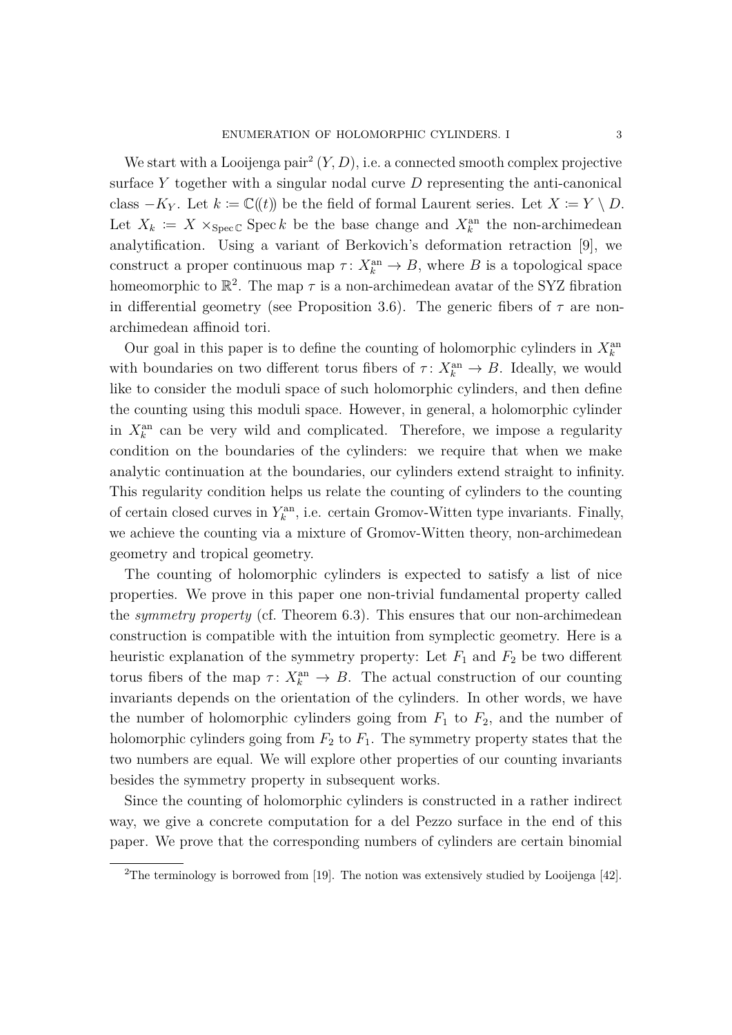We start with a Looijenga pair<sup>[2](#page-2-0)</sup>  $(Y, D)$ , i.e. a connected smooth complex projective surface *Y* together with a singular nodal curve *D* representing the anti-canonical class  $-K_Y$ . Let  $k := \mathbb{C}(\ell)$  be the field of formal Laurent series. Let  $X := Y \setminus D$ . Let  $X_k := X \times_{\text{Spec } \mathbb{C}} \text{Spec } k$  be the base change and  $X_k^{\text{an}}$  the non-archimedean analytification. Using a variant of Berkovich's deformation retraction [\[9\]](#page-30-8), we construct a proper continuous map  $\tau: X_k^{\text{an}} \to B$ , where *B* is a topological space homeomorphic to  $\mathbb{R}^2$ . The map  $\tau$  is a non-archimedean avatar of the SYZ fibration in differential geometry (see Proposition [3.6\)](#page-10-0). The generic fibers of  $\tau$  are nonarchimedean affinoid tori.

Our goal in this paper is to define the counting of holomorphic cylinders in  $X_k^{\text{an}}$ with boundaries on two different torus fibers of  $\tau: X_k^{\text{an}} \to B$ . Ideally, we would like to consider the moduli space of such holomorphic cylinders, and then define the counting using this moduli space. However, in general, a holomorphic cylinder in  $X_k^{\text{an}}$  can be very wild and complicated. Therefore, we impose a regularity condition on the boundaries of the cylinders: we require that when we make analytic continuation at the boundaries, our cylinders extend straight to infinity. This regularity condition helps us relate the counting of cylinders to the counting of certain closed curves in  $Y_k^{\text{an}}$ , i.e. certain Gromov-Witten type invariants. Finally, we achieve the counting via a mixture of Gromov-Witten theory, non-archimedean geometry and tropical geometry.

The counting of holomorphic cylinders is expected to satisfy a list of nice properties. We prove in this paper one non-trivial fundamental property called the *symmetry property* (cf. Theorem [6.3\)](#page-24-0). This ensures that our non-archimedean construction is compatible with the intuition from symplectic geometry. Here is a heuristic explanation of the symmetry property: Let  $F_1$  and  $F_2$  be two different torus fibers of the map  $\tau: X_k^{\text{an}} \to B$ . The actual construction of our counting invariants depends on the orientation of the cylinders. In other words, we have the number of holomorphic cylinders going from  $F_1$  to  $F_2$ , and the number of holomorphic cylinders going from  $F_2$  to  $F_1$ . The symmetry property states that the two numbers are equal. We will explore other properties of our counting invariants besides the symmetry property in subsequent works.

Since the counting of holomorphic cylinders is constructed in a rather indirect way, we give a concrete computation for a del Pezzo surface in the end of this paper. We prove that the corresponding numbers of cylinders are certain binomial

<span id="page-2-0"></span><sup>&</sup>lt;sup>2</sup>The terminology is borrowed from [\[19\]](#page-31-2). The notion was extensively studied by Looijenga [\[42\]](#page-32-2).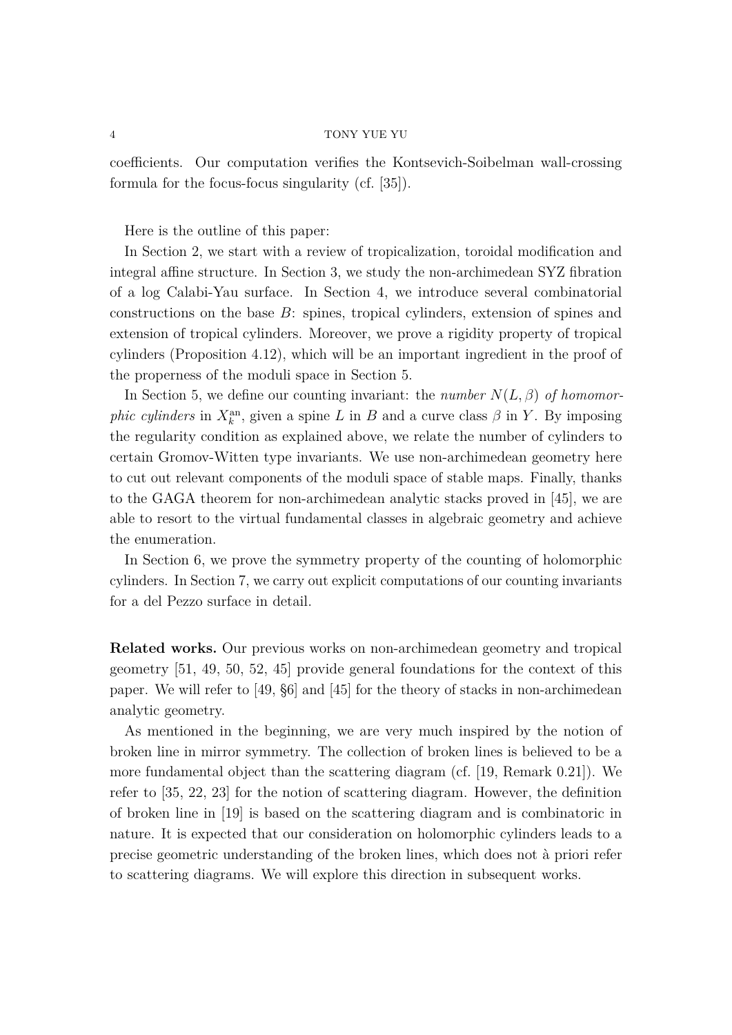coefficients. Our computation verifies the Kontsevich-Soibelman wall-crossing formula for the focus-focus singularity (cf. [\[35\]](#page-31-1)).

Here is the outline of this paper:

In Section [2,](#page-4-0) we start with a review of tropicalization, toroidal modification and integral affine structure. In Section [3,](#page-7-0) we study the non-archimedean SYZ fibration of a log Calabi-Yau surface. In Section [4,](#page-11-0) we introduce several combinatorial constructions on the base *B*: spines, tropical cylinders, extension of spines and extension of tropical cylinders. Moreover, we prove a rigidity property of tropical cylinders (Proposition [4.12\)](#page-15-0), which will be an important ingredient in the proof of the properness of the moduli space in Section [5.](#page-17-0)

In Section [5,](#page-17-0) we define our counting invariant: the *number*  $N(L, \beta)$  of homomor*phic cylinders* in  $X_k^{\text{an}}$ , given a spine *L* in *B* and a curve class  $\beta$  in *Y*. By imposing the regularity condition as explained above, we relate the number of cylinders to certain Gromov-Witten type invariants. We use non-archimedean geometry here to cut out relevant components of the moduli space of stable maps. Finally, thanks to the GAGA theorem for non-archimedean analytic stacks proved in [\[45\]](#page-32-3), we are able to resort to the virtual fundamental classes in algebraic geometry and achieve the enumeration.

In Section [6,](#page-22-0) we prove the symmetry property of the counting of holomorphic cylinders. In Section [7,](#page-27-0) we carry out explicit computations of our counting invariants for a del Pezzo surface in detail.

**Related works.** Our previous works on non-archimedean geometry and tropical geometry [\[51,](#page-32-4) [49,](#page-32-5) [50,](#page-32-6) [52,](#page-32-7) [45\]](#page-32-3) provide general foundations for the context of this paper. We will refer to [\[49,](#page-32-5) §6] and [\[45\]](#page-32-3) for the theory of stacks in non-archimedean analytic geometry.

As mentioned in the beginning, we are very much inspired by the notion of broken line in mirror symmetry. The collection of broken lines is believed to be a more fundamental object than the scattering diagram (cf. [\[19,](#page-31-2) Remark 0.21]). We refer to [\[35,](#page-31-1) [22,](#page-31-7) [23\]](#page-31-8) for the notion of scattering diagram. However, the definition of broken line in [\[19\]](#page-31-2) is based on the scattering diagram and is combinatoric in nature. It is expected that our consideration on holomorphic cylinders leads to a precise geometric understanding of the broken lines, which does not à priori refer to scattering diagrams. We will explore this direction in subsequent works.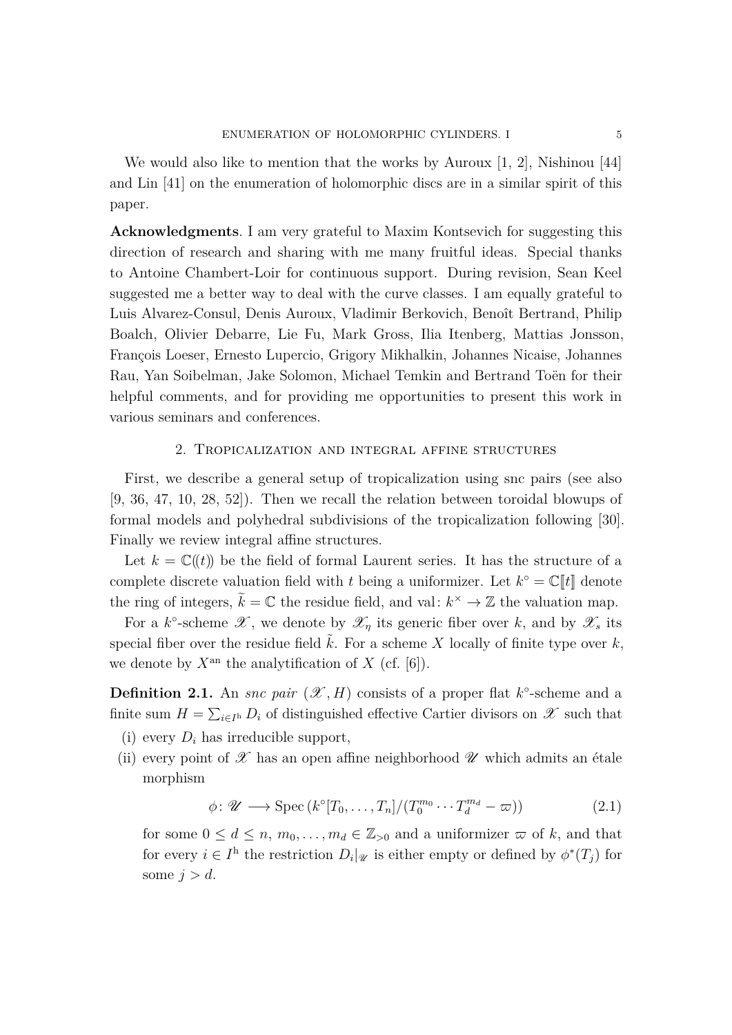We would also like to mention that the works by Auroux [\[1,](#page-29-1) [2\]](#page-30-9), Nishinou [\[44\]](#page-32-8) and Lin [\[41\]](#page-32-9) on the enumeration of holomorphic discs are in a similar spirit of this paper.

**Acknowledgments**. I am very grateful to Maxim Kontsevich for suggesting this direction of research and sharing with me many fruitful ideas. Special thanks to Antoine Chambert-Loir for continuous support. During revision, Sean Keel suggested me a better way to deal with the curve classes. I am equally grateful to Luis Alvarez-Consul, Denis Auroux, Vladimir Berkovich, Benoît Bertrand, Philip Boalch, Olivier Debarre, Lie Fu, Mark Gross, Ilia Itenberg, Mattias Jonsson, François Loeser, Ernesto Lupercio, Grigory Mikhalkin, Johannes Nicaise, Johannes Rau, Yan Soibelman, Jake Solomon, Michael Temkin and Bertrand Toën for their helpful comments, and for providing me opportunities to present this work in various seminars and conferences.

## 2. Tropicalization and integral affine structures

<span id="page-4-0"></span>First, we describe a general setup of tropicalization using snc pairs (see also [\[9,](#page-30-8) [36,](#page-32-10) [47,](#page-32-11) [10,](#page-30-10) [28,](#page-31-9) [52\]](#page-32-7)). Then we recall the relation between toroidal blowups of formal models and polyhedral subdivisions of the tropicalization following [\[30\]](#page-31-10). Finally we review integral affine structures.

Let  $k = \mathbb{C}(\ell)$  be the field of formal Laurent series. It has the structure of a complete discrete valuation field with *t* being a uniformizer. Let  $k^{\circ} = \mathbb{C}[[t]]$  denote the ring of integers,  $\tilde{k} = \mathbb{C}$  the residue field, and val:  $k^{\times} \to \mathbb{Z}$  the valuation map.

For a *k*<sup>o</sup>-scheme  $\mathscr{X}$ , we denote by  $\mathscr{X}_\eta$  its generic fiber over *k*, and by  $\mathscr{X}_s$  its special fiber over the residue field  $\tilde{k}$ . For a scheme X locally of finite type over  $k$ , we denote by  $X^{\text{an}}$  the analytification of X (cf. [\[6\]](#page-30-6)).

<span id="page-4-1"></span>**Definition 2.1.** An *snc pair*  $(\mathcal{X}, H)$  consists of a proper flat  $k^{\circ}$ -scheme and a finite sum  $H = \sum_{i \in I^h} D_i$  of distinguished effective Cartier divisors on  $\mathscr{X}$  such that

- (i) every  $D_i$  has irreducible support,
- (ii) every point of  $\mathscr X$  has an open affine neighborhood  $\mathscr U$  which admits an étale morphism

$$
\phi \colon \mathscr{U} \longrightarrow \text{Spec}\left(k^{\circ}[T_0, \ldots, T_n]/(T_0^{m_0} \cdots T_d^{m_d} - \varpi)\right) \tag{2.1}
$$

for some  $0 \leq d \leq n, m_0, \ldots, m_d \in \mathbb{Z}_{>0}$  and a uniformizer  $\varpi$  of *k*, and that for every  $i \in I^{\text{h}}$  the restriction  $D_i|_{\mathscr{U}}$  is either empty or defined by  $\phi^*(T_j)$  for some  $j > d$ .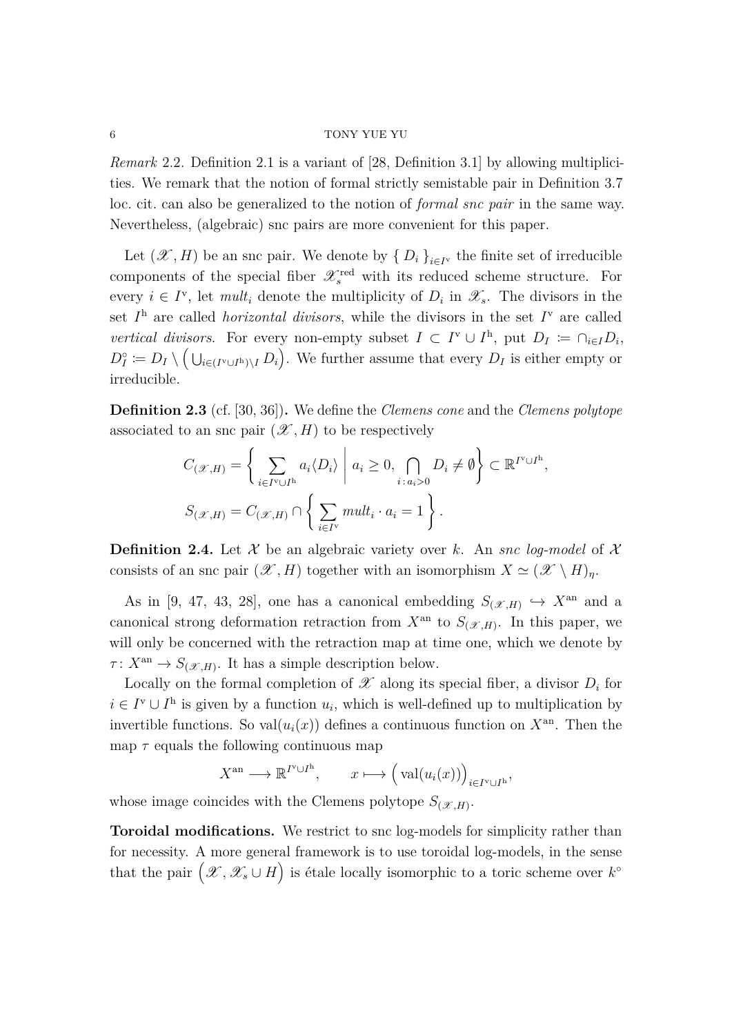*Remark* 2.2*.* Definition [2.1](#page-4-1) is a variant of [\[28,](#page-31-9) Definition 3.1] by allowing multiplicities. We remark that the notion of formal strictly semistable pair in Definition 3.7 loc. cit. can also be generalized to the notion of *formal snc pair* in the same way. Nevertheless, (algebraic) snc pairs are more convenient for this paper.

Let  $(\mathscr{X}, H)$  be an snc pair. We denote by  $\{D_i\}_{i \in I^{\vee}}$  the finite set of irreducible components of the special fiber  $\mathscr{X}_s^{\text{red}}$  with its reduced scheme structure. For every  $i \in I^{\nu}$ , let *mult<sub>i</sub>* denote the multiplicity of  $D_i$  in  $\mathscr{X}_s$ . The divisors in the set  $I<sup>h</sup>$  are called *horizontal divisors*, while the divisors in the set  $I<sup>v</sup>$  are called *vertical divisors.* For every non-empty subset  $I \subset I^{\nu} \cup I^{\mathrm{h}}$ , put  $D_{I} \coloneqq \bigcap_{i \in I} D_{i}$ ,  $D_I^{\circ} := D_I \setminus (\bigcup_{i \in (I^{\vee} \cup I^{\mathsf{h}}) \setminus I} D_i)$ . We further assume that every  $D_I$  is either empty or irreducible.

**Definition 2.3** (cf. [\[30,](#page-31-10) [36\]](#page-32-10))**.** We define the *Clemens cone* and the *Clemens polytope* associated to an snc pair  $(\mathcal{X}, H)$  to be respectively

$$
C_{(\mathscr{X},H)} = \left\{ \sum_{i \in I^{\vee} \cup I^{\mathrm{h}}} a_i \langle D_i \rangle \middle| a_i \ge 0, \bigcap_{i \, : \, a_i > 0} D_i \ne \emptyset \right\} \subset \mathbb{R}^{I^{\vee} \cup I^{\mathrm{h}}},
$$
\n
$$
S_{(\mathscr{X},H)} = C_{(\mathscr{X},H)} \cap \left\{ \sum_{i \in I^{\vee}} mult_i \cdot a_i = 1 \right\}.
$$

<span id="page-5-0"></span>**Definition 2.4.** Let  $\mathcal{X}$  be an algebraic variety over k. An *snc log-model* of  $\mathcal{X}$ consists of an snc pair  $(\mathscr{X}, H)$  together with an isomorphism  $X \simeq (\mathscr{X} \setminus H)_n$ .

As in [\[9,](#page-30-8) [47,](#page-32-11) [43,](#page-32-12) [28\]](#page-31-9), one has a canonical embedding  $S_{(\mathcal{X},H)} \hookrightarrow X^{\text{an}}$  and a canonical strong deformation retraction from  $X^{\text{an}}$  to  $S_{(\mathscr{X},H)}$ . In this paper, we will only be concerned with the retraction map at time one, which we denote by  $\tau: X^{\text{an}} \to S_{(\mathscr{X},H)}$ . It has a simple description below.

Locally on the formal completion of  $\mathscr X$  along its special fiber, a divisor  $D_i$  for  $i \in I^{\mathsf{v}} \cup I^{\mathsf{h}}$  is given by a function  $u_i$ , which is well-defined up to multiplication by invertible functions. So val $(u_i(x))$  defines a continuous function on  $X^{\text{an}}$ . Then the map  $\tau$  equals the following continuous map

$$
X^{\mathrm{an}} \longrightarrow \mathbb{R}^{I^{\mathrm{v}} \cup I^{\mathrm{h}}}, \qquad x \longmapsto \left(\mathrm{val}(u_i(x))\right)_{i \in I^{\mathrm{v}} \cup I^{\mathrm{h}}},
$$

whose image coincides with the Clemens polytope  $S_{(\mathcal{X},H)}$ .

**Toroidal modifications.** We restrict to snc log-models for simplicity rather than for necessity. A more general framework is to use toroidal log-models, in the sense that the pair  $(\mathscr{X}, \mathscr{X}_{s} \cup H)$  is étale locally isomorphic to a toric scheme over  $k^{\circ}$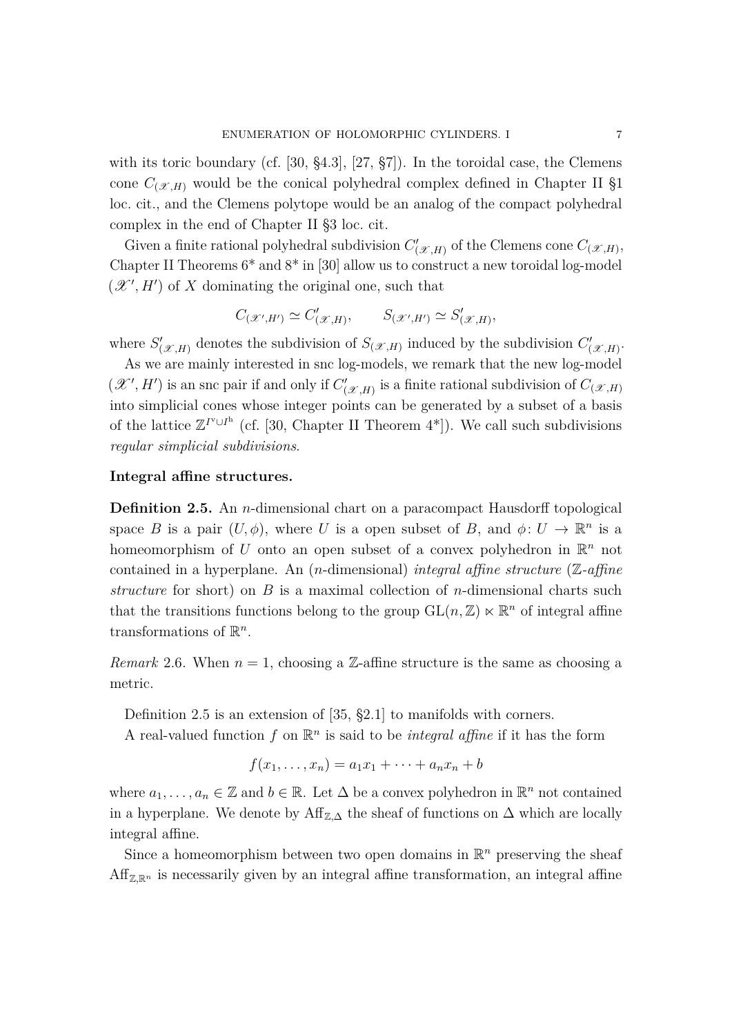with its toric boundary (cf. [\[30,](#page-31-10) §4.3], [\[27,](#page-31-11) §7]). In the toroidal case, the Clemens cone  $C_{(\mathcal{X},H)}$  would be the conical polyhedral complex defined in Chapter II §1 loc. cit., and the Clemens polytope would be an analog of the compact polyhedral complex in the end of Chapter II §3 loc. cit.

Given a finite rational polyhedral subdivision  $C'_{(\mathcal{X},H)}$  of the Clemens cone  $C_{(\mathcal{X},H)}$ , Chapter II Theorems  $6^*$  and  $8^*$  in [\[30\]](#page-31-10) allow us to construct a new toroidal log-model  $(\mathcal{X}', H')$  of X dominating the original one, such that

$$
C_{(\mathcal{X}',H')} \simeq C'_{(\mathcal{X},H)}, \qquad S_{(\mathcal{X}',H')} \simeq S'_{(\mathcal{X},H)},
$$

where  $S'_{(\mathcal{X},H)}$  denotes the subdivision of  $S_{(\mathcal{X},H)}$  induced by the subdivision  $C'_{(\mathcal{X},H)}$ .

As we are mainly interested in snc log-models, we remark that the new log-model  $(\mathcal{X}', H')$  is an snc pair if and only if  $C'_{(\mathcal{X}, H)}$  is a finite rational subdivision of  $C_{(\mathcal{X}, H)}$ into simplicial cones whose integer points can be generated by a subset of a basis of the lattice  $\mathbb{Z}^{I^{\mathrm{v}}\cup I^{\mathrm{h}}}$  (cf. [\[30,](#page-31-10) Chapter II Theorem 4<sup>\*</sup>]). We call such subdivisions *regular simplicial subdivisions*.

## <span id="page-6-0"></span>**Integral affine structures.**

**Definition 2.5.** An *n*-dimensional chart on a paracompact Hausdorff topological space *B* is a pair  $(U, \phi)$ , where *U* is a open subset of *B*, and  $\phi: U \to \mathbb{R}^n$  is a homeomorphism of U onto an open subset of a convex polyhedron in  $\mathbb{R}^n$  not contained in a hyperplane. An (*n*-dimensional) *integral affine structure* (Z*-affine structure* for short) on *B* is a maximal collection of *n*-dimensional charts such that the transitions functions belong to the group  $GL(n, \mathbb{Z}) \ltimes \mathbb{R}^n$  of integral affine transformations of  $\mathbb{R}^n$ .

*Remark* 2.6. When  $n = 1$ , choosing a Z-affine structure is the same as choosing a metric.

Definition [2.5](#page-6-0) is an extension of [\[35,](#page-31-1) §2.1] to manifolds with corners. A real-valued function  $f$  on  $\mathbb{R}^n$  is said to be *integral affine* if it has the form

$$
f(x_1,\ldots,x_n)=a_1x_1+\cdots+a_nx_n+b
$$

where  $a_1, \ldots, a_n \in \mathbb{Z}$  and  $b \in \mathbb{R}$ . Let  $\Delta$  be a convex polyhedron in  $\mathbb{R}^n$  not contained in a hyperplane. We denote by  $\text{Aff}_{\mathbb{Z},\Delta}$  the sheaf of functions on  $\Delta$  which are locally integral affine.

Since a homeomorphism between two open domains in  $\mathbb{R}^n$  preserving the sheaf  $Aff_{\mathbb{Z},\mathbb{R}^n}$  is necessarily given by an integral affine transformation, an integral affine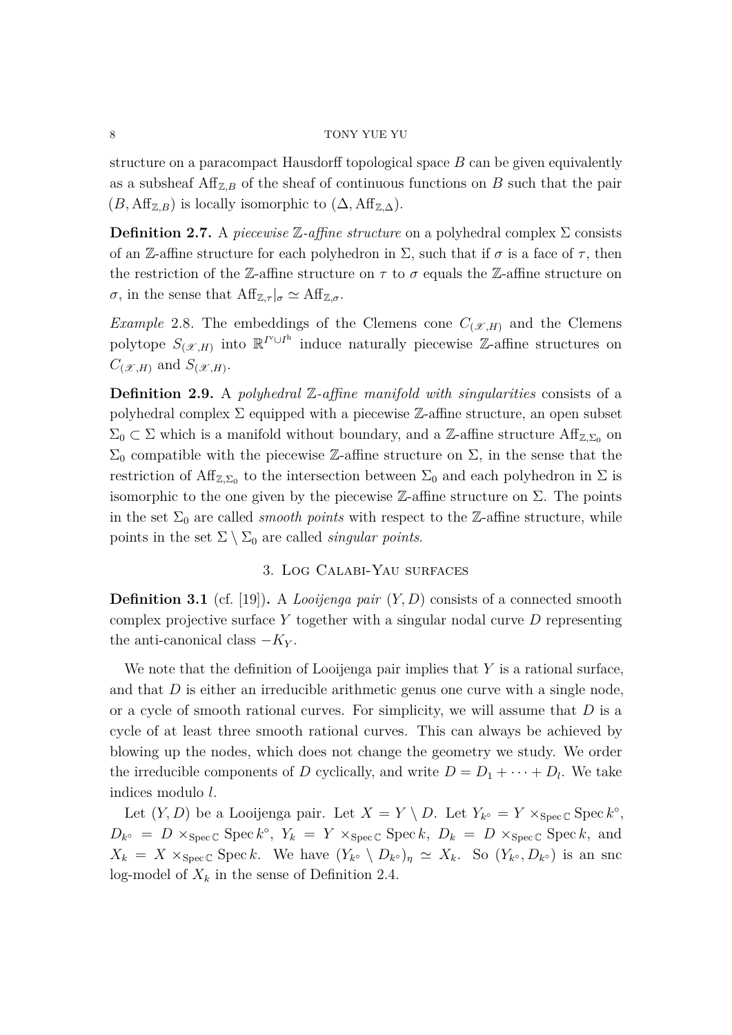structure on a paracompact Hausdorff topological space *B* can be given equivalently as a subsheaf  $\text{Aff}_{Z,B}$  of the sheaf of continuous functions on *B* such that the pair  $(B, \text{Aff}_{\mathbb{Z},B})$  is locally isomorphic to  $(\Delta, \text{Aff}_{\mathbb{Z},\Delta})$ .

**Definition 2.7.** A *piecewise*  $\mathbb{Z}$ -affine structure on a polyhedral complex  $\Sigma$  consists of an Z-affine structure for each polyhedron in  $\Sigma$ , such that if  $\sigma$  is a face of  $\tau$ , then the restriction of the Z-affine structure on  $\tau$  to  $\sigma$  equals the Z-affine structure on *σ*, in the sense that  $\text{Aff}_{\mathbb{Z},\tau}|_{\sigma} \simeq \text{Aff}_{\mathbb{Z},\sigma}$ .

*Example* 2.8. The embeddings of the Clemens cone  $C_{(\mathcal{X},H)}$  and the Clemens polytope  $S_{(\mathscr{X},H)}$  into  $\mathbb{R}^{I^{\vee}\cup I^{\mathrm{h}}}$  induce naturally piecewise Z-affine structures on  $C_{(\mathcal{X},H)}$  and  $S_{(\mathcal{X},H)}$ .

<span id="page-7-1"></span>**Definition 2.9.** A *polyhedral* Z*-affine manifold with singularities* consists of a polyhedral complex  $\Sigma$  equipped with a piecewise Z-affine structure, an open subset  $\Sigma_0 \subset \Sigma$  which is a manifold without boundary, and a Z-affine structure  $\text{Aff}_{\mathbb{Z},\Sigma_0}$  on  $\Sigma_0$  compatible with the piecewise Z-affine structure on  $\Sigma$ , in the sense that the restriction of  $\text{Aff}_{\mathbb{Z},\Sigma_0}$  to the intersection between  $\Sigma_0$  and each polyhedron in  $\Sigma$  is isomorphic to the one given by the piecewise  $\mathbb{Z}$ -affine structure on  $\Sigma$ . The points in the set  $\Sigma_0$  are called *smooth points* with respect to the Z-affine structure, while points in the set  $\Sigma \setminus \Sigma_0$  are called *singular points*.

## 3. Log Calabi-Yau surfaces

<span id="page-7-2"></span><span id="page-7-0"></span>**Definition 3.1** (cf. [\[19\]](#page-31-2))**.** A *Looijenga pair* (*Y, D*) consists of a connected smooth complex projective surface *Y* together with a singular nodal curve *D* representing the anti-canonical class  $-K_Y$ .

We note that the definition of Looijenga pair implies that *Y* is a rational surface, and that *D* is either an irreducible arithmetic genus one curve with a single node, or a cycle of smooth rational curves. For simplicity, we will assume that *D* is a cycle of at least three smooth rational curves. This can always be achieved by blowing up the nodes, which does not change the geometry we study. We order the irreducible components of *D* cyclically, and write  $D = D_1 + \cdots + D_l$ . We take indices modulo *l*.

Let  $(Y, D)$  be a Looijenga pair. Let  $X = Y \setminus D$ . Let  $Y_{k^{\circ}} = Y \times_{Spec \mathbb{C}} Spec k^{\circ}$ ,  $D_{k^{\circ}} = D \times_{\text{Spec } \mathbb{C}} \text{Spec } k^{\circ}, Y_k = Y \times_{\text{Spec } \mathbb{C}} \text{Spec } k, D_k = D \times_{\text{Spec } \mathbb{C}} \text{Spec } k, \text{ and }$  $X_k = X \times_{\text{Spec } \mathbb{C}} \text{Spec } k$ . We have  $(Y_{k^{\circ}} \setminus D_{k^{\circ}})_\eta \simeq X_k$ . So  $(Y_{k^{\circ}}, D_{k^{\circ}})$  is an snc log-model of  $X_k$  in the sense of Definition [2.4.](#page-5-0)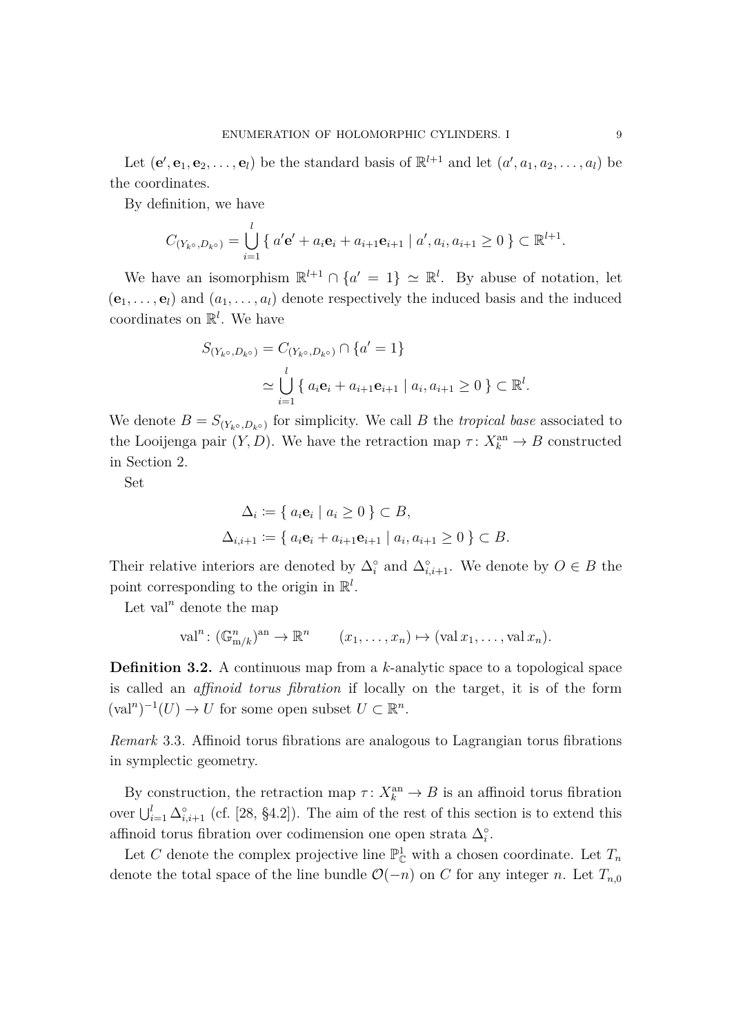Let  $(\mathbf{e}', \mathbf{e}_1, \mathbf{e}_2, \dots, \mathbf{e}_l)$  be the standard basis of  $\mathbb{R}^{l+1}$  and let  $(a', a_1, a_2, \dots, a_l)$  be the coordinates.

By definition, we have

$$
C_{(Y_{k^{\circ}},D_{k^{\circ}})} = \bigcup_{i=1}^{l} \{ a' \mathbf{e}' + a_i \mathbf{e}_i + a_{i+1} \mathbf{e}_{i+1} \mid a', a_i, a_{i+1} \ge 0 \} \subset \mathbb{R}^{l+1}.
$$

We have an isomorphism  $\mathbb{R}^{l+1} \cap \{a' = 1\} \simeq \mathbb{R}^l$ . By abuse of notation, let  $(\mathbf{e}_1, \ldots, \mathbf{e}_l)$  and  $(a_1, \ldots, a_l)$  denote respectively the induced basis and the induced coordinates on R *l* . We have

$$
S_{(Y_{k^{\circ}}, D_{k^{\circ}})} = C_{(Y_{k^{\circ}}, D_{k^{\circ}})} \cap \{a' = 1\}
$$
  
\n
$$
\simeq \bigcup_{i=1}^{l} \{ a_i \mathbf{e}_i + a_{i+1} \mathbf{e}_{i+1} \mid a_i, a_{i+1} \ge 0 \} \subset \mathbb{R}^l.
$$

We denote  $B = S_{(Y_{k} \circ B_{k} \circ)}$  for simplicity. We call *B* the *tropical base* associated to the Looijenga pair  $(Y, D)$ . We have the retraction map  $\tau: X_k^{\text{an}} \to B$  constructed in Section [2.](#page-4-0)

Set

$$
\Delta_i := \{ a_i \mathbf{e}_i \mid a_i \ge 0 \} \subset B,
$$
  

$$
\Delta_{i,i+1} := \{ a_i \mathbf{e}_i + a_{i+1} \mathbf{e}_{i+1} \mid a_i, a_{i+1} \ge 0 \} \subset B.
$$

Their relative interiors are denoted by  $\Delta_i^{\circ}$  and  $\Delta_{i,i+1}^{\circ}$ . We denote by  $O \in B$  the point corresponding to the origin in  $\mathbb{R}^l$ .

Let val<sup>n</sup> denote the map

$$
\mathrm{val}^n\colon (\mathbb{G}_{\mathrm{m}/k}^n)^{\mathrm{an}} \to \mathbb{R}^n \qquad (x_1,\ldots,x_n) \mapsto (\mathrm{val}\, x_1,\ldots,\mathrm{val}\, x_n).
$$

**Definition 3.2.** A continuous map from a *k*-analytic space to a topological space is called an *affinoid torus fibration* if locally on the target, it is of the form  $(\text{val}^n)^{-1}(U) \to U$  for some open subset  $U \subset \mathbb{R}^n$ .

*Remark* 3.3*.* Affinoid torus fibrations are analogous to Lagrangian torus fibrations in symplectic geometry.

By construction, the retraction map  $\tau: X_k^{\text{an}} \to B$  is an affinoid torus fibration over  $\bigcup_{i=1}^{l} \Delta_{i,i+1}^{\circ}$  (cf. [\[28,](#page-31-9) §4.2]). The aim of the rest of this section is to extend this affinoid torus fibration over codimension one open strata  $\Delta_i^{\circ}$ .

Let *C* denote the complex projective line  $\mathbb{P}^1_{\mathbb{C}}$  with a chosen coordinate. Let  $T_n$ denote the total space of the line bundle  $\mathcal{O}(-n)$  on *C* for any integer *n*. Let  $T_{n,0}$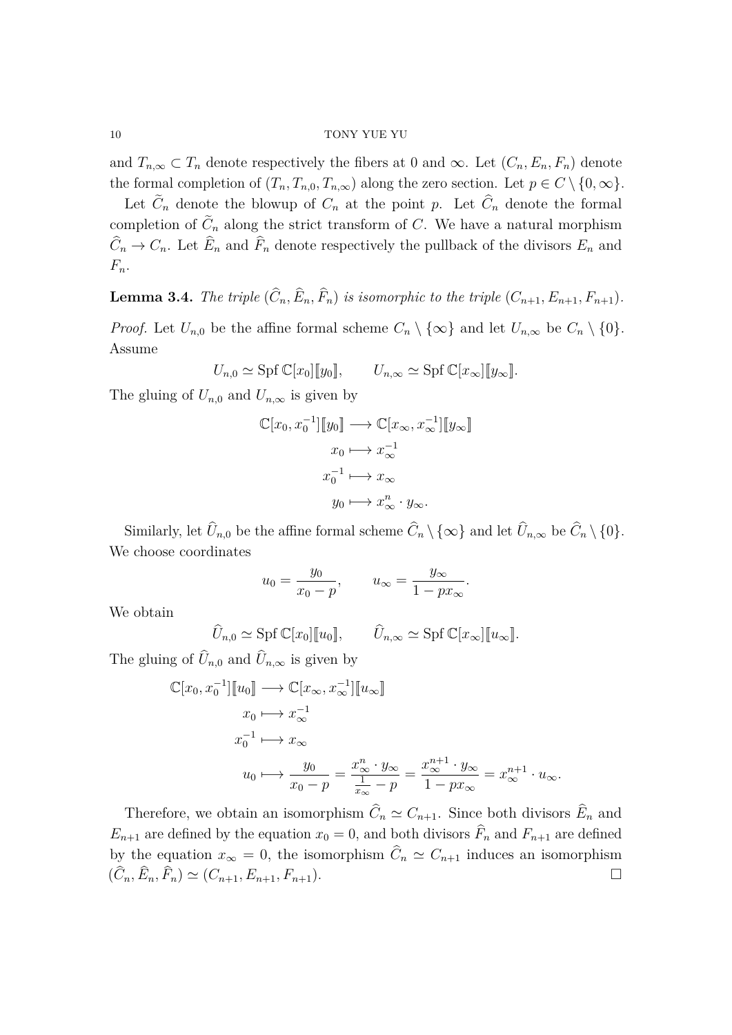and  $T_{n,\infty} \subset T_n$  denote respectively the fibers at 0 and  $\infty$ . Let  $(C_n, E_n, F_n)$  denote the formal completion of  $(T_n, T_{n,0}, T_{n,\infty})$  along the zero section. Let  $p \in C \setminus \{0, \infty\}.$ 

Let  $C_n$  denote the blowup of  $C_n$  at the point  $p$ . Let  $C_n$  denote the formal completion of  $C_n$  along the strict transform of  $C$ . We have a natural morphism  $C_n \to C_n$ . Let  $E_n$  and  $F_n$  denote respectively the pullback of the divisors  $E_n$  and *Fn*.

<span id="page-9-0"></span>**Lemma 3.4.** *The triple*  $(C_n, E_n, F_n)$  *is isomorphic to the triple*  $(C_{n+1}, E_{n+1}, F_{n+1})$ *. Proof.* Let  $U_{n,0}$  be the affine formal scheme  $C_n \setminus \{\infty\}$  and let  $U_{n,\infty}$  be  $C_n \setminus \{0\}$ . Assume

 $U_{n,0} \simeq$  Spf  $\mathbb{C}[x_0][y_0], \qquad U_{n,\infty} \simeq$  Spf  $\mathbb{C}[x_\infty][y_\infty].$ 

The gluing of  $U_{n,0}$  and  $U_{n,\infty}$  is given by

$$
\mathbb{C}[x_0, x_0^{-1}][y_0] \longrightarrow \mathbb{C}[x_{\infty}, x_{\infty}^{-1}][y_{\infty}]
$$

$$
x_0 \longmapsto x_{\infty}^{-1}
$$

$$
x_0^{-1} \longmapsto x_{\infty}
$$

$$
y_0 \longmapsto x_{\infty}^n \cdot y_{\infty}.
$$

Similarly, let  $U_{n,0}$  be the affine formal scheme  $C_n \setminus \{\infty\}$  and let  $U_{n,\infty}$  be  $C_n \setminus \{0\}$ . We choose coordinates

$$
u_0 = \frac{y_0}{x_0 - p}
$$
,  $u_\infty = \frac{y_\infty}{1 - px_\infty}$ .

We obtain

 $\widehat{U}_{n,0} \simeq \text{Spf}\,\mathbb{C}[x_0][[u_0]], \qquad \widehat{U}_{n,\infty} \simeq \text{Spf}\,\mathbb{C}[x_\infty][[u_\infty]].$ 

The gluing of  $U_{n,0}$  and  $U_{n,\infty}$  is given by

$$
\mathbb{C}[x_0, x_0^{-1}][[u_0] \longrightarrow \mathbb{C}[x_{\infty}, x_{\infty}^{-1}][[u_{\infty}]]
$$
  
\n
$$
x_0 \longmapsto x_{\infty}^{-1}
$$
  
\n
$$
x_0^{-1} \longmapsto x_{\infty}
$$
  
\n
$$
u_0 \longmapsto \frac{y_0}{x_0 - p} = \frac{x_{\infty}^n \cdot y_{\infty}}{\frac{1}{x_{\infty}} - p} = \frac{x_{\infty}^{n+1} \cdot y_{\infty}}{1 - px_{\infty}} = x_{\infty}^{n+1} \cdot u_{\infty}.
$$

<span id="page-9-1"></span>Therefore, we obtain an isomorphism  $\tilde{C}_n \simeq C_{n+1}$ . Since both divisors  $\tilde{E}_n$  and  $E_{n+1}$  are defined by the equation  $x_0 = 0$ , and both divisors  $\widehat{F}_n$  and  $F_{n+1}$  are defined by the equation  $x_{\infty} = 0$ , the isomorphism  $C_n \simeq C_{n+1}$  induces an isomorphism  $(\hat{C}_n, \hat{E}_n, \hat{F}_n) \simeq (C_{n+1}, E_{n+1}, F_{n+1}).$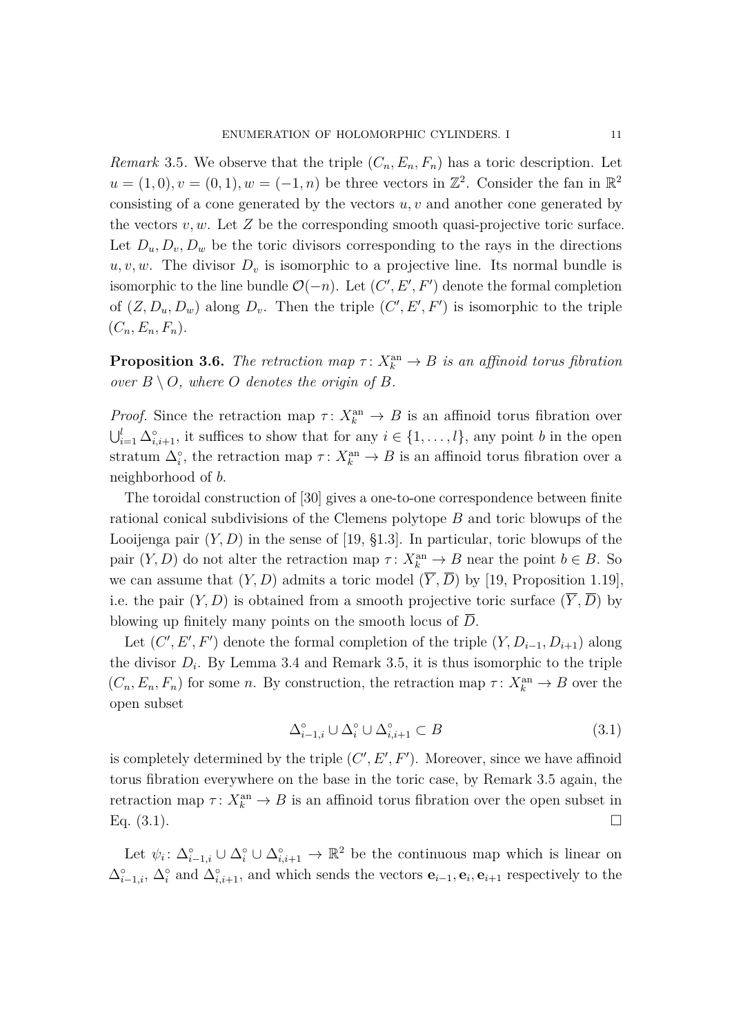*Remark* 3.5. We observe that the triple  $(C_n, E_n, F_n)$  has a toric description. Let  $u = (1,0), v = (0,1), w = (-1, n)$  be three vectors in  $\mathbb{Z}^2$ . Consider the fan in  $\mathbb{R}^2$ consisting of a cone generated by the vectors *u, v* and another cone generated by the vectors  $v, w$ . Let  $Z$  be the corresponding smooth quasi-projective toric surface. Let  $D_u, D_v, D_w$  be the toric divisors corresponding to the rays in the directions  $u, v, w$ . The divisor  $D_v$  is isomorphic to a projective line. Its normal bundle is isomorphic to the line bundle  $\mathcal{O}(-n)$ . Let  $(C', E', F')$  denote the formal completion of  $(Z, D_u, D_w)$  along  $D_v$ . Then the triple  $(C', E', F')$  is isomorphic to the triple  $(C_n, E_n, F_n).$ 

<span id="page-10-0"></span>**Proposition 3.6.** *The retraction map*  $\tau: X_k^{\text{an}} \to B$  *is an affinoid torus fibration over*  $B \setminus O$ *, where*  $O$  *denotes the origin of*  $B$ *.* 

*Proof.* Since the retraction map  $\tau: X_k^{\text{an}} \to B$  is an affinoid torus fibration over  $\bigcup_{i=1}^{l} \Delta_{i,i+1}^{\circ}$ , it suffices to show that for any  $i \in \{1, \ldots, l\}$ , any point *b* in the open stratum  $\Delta_i^{\circ}$ , the retraction map  $\tau: X_k^{\text{an}} \to B$  is an affinoid torus fibration over a neighborhood of *b*.

The toroidal construction of [\[30\]](#page-31-10) gives a one-to-one correspondence between finite rational conical subdivisions of the Clemens polytope *B* and toric blowups of the Looijenga pair  $(Y, D)$  in the sense of [\[19,](#page-31-2) §1.3]. In particular, toric blowups of the pair  $(Y, D)$  do not alter the retraction map  $\tau: X_k^{\text{an}} \to B$  near the point  $b \in B$ . So we can assume that  $(Y, D)$  admits a toric model  $(\overline{Y}, \overline{D})$  by [\[19,](#page-31-2) Proposition 1.19], i.e. the pair  $(Y, D)$  is obtained from a smooth projective toric surface  $(\overline{Y}, \overline{D})$  by blowing up finitely many points on the smooth locus of  $\overline{D}$ .

Let  $(C', E', F')$  denote the formal completion of the triple  $(Y, D_{i-1}, D_{i+1})$  along the divisor  $D_i$ . By Lemma [3.4](#page-9-0) and Remark [3.5,](#page-9-1) it is thus isomorphic to the triple  $(C_n, E_n, F_n)$  for some *n*. By construction, the retraction map  $\tau: X_k^{\text{an}} \to B$  over the open subset

<span id="page-10-1"></span>
$$
\Delta_{i-1,i}^{\circ} \cup \Delta_i^{\circ} \cup \Delta_{i,i+1}^{\circ} \subset B \tag{3.1}
$$

is completely determined by the triple  $(C', E', F')$ . Moreover, since we have affinoid torus fibration everywhere on the base in the toric case, by Remark [3.5](#page-9-1) again, the retraction map  $\tau: X_k^{\text{an}} \to B$  is an affinoid torus fibration over the open subset in Eq.  $(3.1)$ .

Let  $\psi_i: \Delta_{i-1,i}^{\circ} \cup \Delta_i^{\circ} \cup \Delta_{i,i+1}^{\circ} \to \mathbb{R}^2$  be the continuous map which is linear on  $\Delta_{i-1,i}^{\circ}$ ,  $\Delta_i^{\circ}$  and  $\Delta_{i,i+1}^{\circ}$ , and which sends the vectors  $\mathbf{e}_{i-1}, \mathbf{e}_i, \mathbf{e}_{i+1}$  respectively to the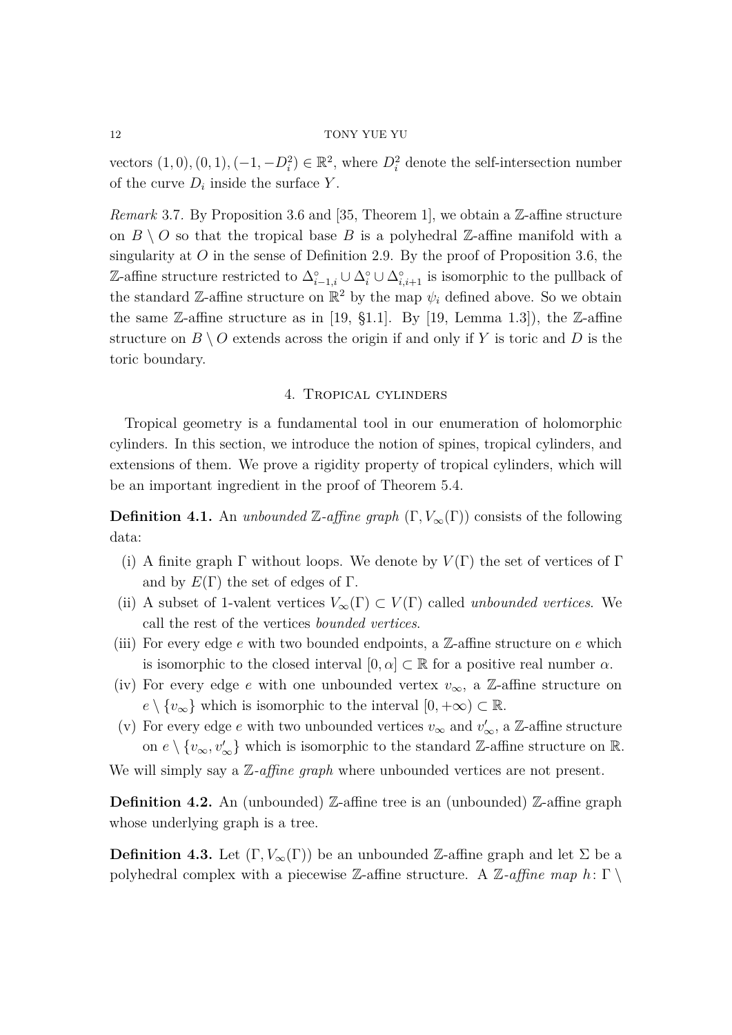vectors  $(1,0)$ ,  $(0,1)$ ,  $(-1, -D_i^2) \in \mathbb{R}^2$ , where  $D_i^2$  denote the self-intersection number of the curve  $D_i$  inside the surface  $Y$ .

<span id="page-11-1"></span>*Remark* 3.7. By Proposition [3.6](#page-10-0) and [\[35,](#page-31-1) Theorem 1], we obtain a Z-affine structure on  $B \setminus O$  so that the tropical base *B* is a polyhedral Z-affine manifold with a singularity at *O* in the sense of Definition [2.9.](#page-7-1) By the proof of Proposition [3.6,](#page-10-0) the  $\mathbb{Z}\text{-affine structure restricted to } ∆_{i-1,i}^{\circ} ∪ ∆_{i}^{\circ} ∪ ∆_{i,i+1}^{\circ}$  is isomorphic to the pullback of the standard Z-affine structure on  $\mathbb{R}^2$  by the map  $\psi_i$  defined above. So we obtain the same  $\mathbb{Z}\text{-affine structure}$  as in [\[19,](#page-31-2) §1.1]. By [19, Lemma 1.3]), the  $\mathbb{Z}\text{-affine}$ structure on  $B \setminus O$  extends across the origin if and only if Y is toric and D is the toric boundary.

#### 4. Tropical cylinders

<span id="page-11-0"></span>Tropical geometry is a fundamental tool in our enumeration of holomorphic cylinders. In this section, we introduce the notion of spines, tropical cylinders, and extensions of them. We prove a rigidity property of tropical cylinders, which will be an important ingredient in the proof of Theorem [5.4.](#page-20-0)

**Definition 4.1.** An *unbounded* Z-affine graph  $(\Gamma, V_{\infty}(\Gamma))$  consists of the following data:

- (i) A finite graph  $\Gamma$  without loops. We denote by  $V(\Gamma)$  the set of vertices of  $\Gamma$ and by  $E(\Gamma)$  the set of edges of  $\Gamma$ .
- (ii) A subset of 1-valent vertices  $V_\infty(\Gamma) \subset V(\Gamma)$  called *unbounded vertices*. We call the rest of the vertices *bounded vertices*.
- (iii) For every edge *e* with two bounded endpoints, a Z-affine structure on *e* which is isomorphic to the closed interval  $[0, \alpha] \subset \mathbb{R}$  for a positive real number  $\alpha$ .
- (iv) For every edge *e* with one unbounded vertex  $v_{\infty}$ , a Z-affine structure on  $e \setminus \{v_{\infty}\}\$  which is isomorphic to the interval  $[0, +\infty) \subset \mathbb{R}$ .
- (v) For every edge *e* with two unbounded vertices  $v_{\infty}$  and  $v'_{\infty}$ , a Z-affine structure on  $e \setminus \{v_{\infty}, v_{\infty}'\}$  which is isomorphic to the standard Z-affine structure on R.

We will simply say a Z*-affine graph* where unbounded vertices are not present.

**Definition 4.2.** An (unbounded) Z-affine tree is an (unbounded) Z-affine graph whose underlying graph is a tree.

**Definition 4.3.** Let  $(\Gamma, V_{\infty}(\Gamma))$  be an unbounded Z-affine graph and let  $\Sigma$  be a polyhedral complex with a piecewise Z-affine structure. A Z*-affine map h*: Γ \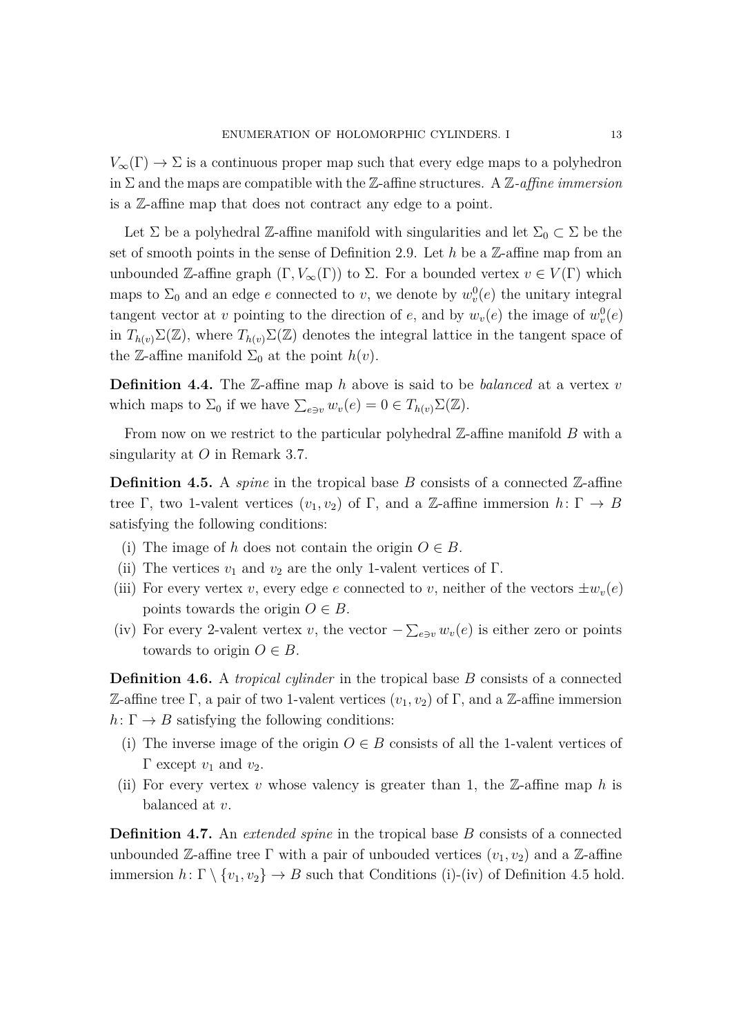$V_\infty(\Gamma) \to \Sigma$  is a continuous proper map such that every edge maps to a polyhedron in Σ and the maps are compatible with the Z-affine structures. A Z*-affine immersion* is a Z-affine map that does not contract any edge to a point.

Let  $\Sigma$  be a polyhedral Z-affine manifold with singularities and let  $\Sigma_0 \subset \Sigma$  be the set of smooth points in the sense of Definition [2.9.](#page-7-1) Let *h* be a Z-affine map from an unbounded Z-affine graph  $(\Gamma, V_\infty(\Gamma))$  to  $\Sigma$ . For a bounded vertex  $v \in V(\Gamma)$  which maps to  $\Sigma_0$  and an edge *e* connected to *v*, we denote by  $w_v^0(e)$  the unitary integral tangent vector at *v* pointing to the direction of *e*, and by  $w_v(e)$  the image of  $w_v^0(e)$ in  $T_{h(v)}\Sigma(\mathbb{Z})$ , where  $T_{h(v)}\Sigma(\mathbb{Z})$  denotes the integral lattice in the tangent space of the Z-affine manifold  $\Sigma_0$  at the point  $h(v)$ .

**Definition 4.4.** The Z-affine map *h* above is said to be *balanced* at a vertex *v* which maps to  $\Sigma_0$  if we have  $\sum_{e \ni v} w_v(e) = 0 \in T_{h(v)}\Sigma(\mathbb{Z}).$ 

From now on we restrict to the particular polyhedral Z-affine manifold *B* with a singularity at *O* in Remark [3.7.](#page-11-1)

<span id="page-12-1"></span>**Definition 4.5.** A *spine* in the tropical base  $B$  consists of a connected  $\mathbb{Z}$ -affine tree Γ, two 1-valent vertices  $(v_1, v_2)$  of Γ, and a Z-affine immersion  $h: \Gamma \to B$ satisfying the following conditions:

- (i) The image of *h* does not contain the origin  $O \in B$ .
- (ii) The vertices  $v_1$  and  $v_2$  are the only 1-valent vertices of  $\Gamma$ .
- (iii) For every vertex *v*, every edge *e* connected to *v*, neither of the vectors  $\pm w_v(e)$ points towards the origin  $O \in B$ .
- <span id="page-12-0"></span>(iv) For every 2-valent vertex *v*, the vector  $-\sum_{e \ni v} w_v(e)$  is either zero or points towards to origin  $O \in B$ .

<span id="page-12-2"></span>**Definition 4.6.** A *tropical cylinder* in the tropical base *B* consists of a connected Z-affine tree Γ, a pair of two 1-valent vertices  $(v_1, v_2)$  of Γ, and a Z-affine immersion  $h: \Gamma \to B$  satisfying the following conditions:

- (i) The inverse image of the origin  $O \in B$  consists of all the 1-valent vertices of  $Γ$  except  $v_1$  and  $v_2$ .
- (ii) For every vertex  $v$  whose valency is greater than 1, the  $\mathbb{Z}\text{-affine map }h$  is balanced at *v*.

<span id="page-12-3"></span>**Definition 4.7.** An *extended spine* in the tropical base *B* consists of a connected unbounded Z-affine tree  $\Gamma$  with a pair of unbouded vertices  $(v_1, v_2)$  and a Z-affine immersion  $h: \Gamma \setminus \{v_1, v_2\} \to B$  such that Conditions (i)-[\(iv\)](#page-12-0) of Definition [4.5](#page-12-1) hold.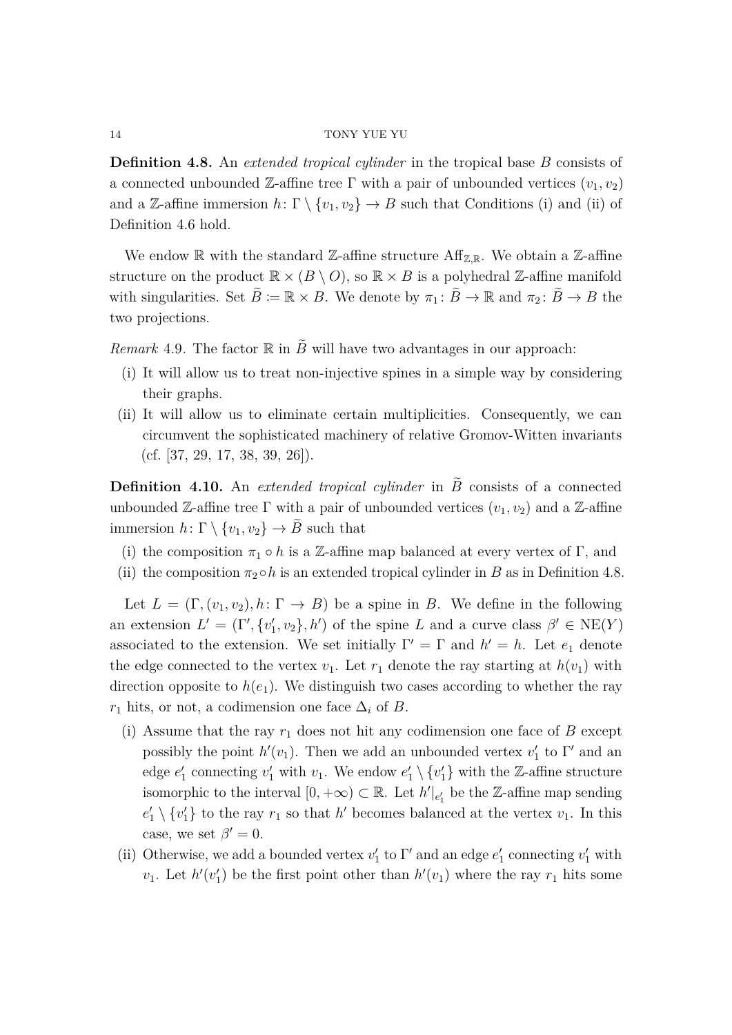**Definition 4.8.** An *extended tropical cylinder* in the tropical base *B* consists of a connected unbounded Z-affine tree  $\Gamma$  with a pair of unbounded vertices  $(v_1, v_2)$ and a Z-affine immersion  $h: \Gamma \setminus \{v_1, v_2\} \to B$  such that Conditions (i) and (ii) of Definition [4.6](#page-12-2) hold.

We endow  $\mathbb R$  with the standard  $\mathbb Z$ -affine structure Aff<sub>Z,R</sub>. We obtain a Z-affine structure on the product  $\mathbb{R} \times (B \setminus O)$ , so  $\mathbb{R} \times B$  is a polyhedral Z-affine manifold with singularities. Set  $\tilde{B} := \mathbb{R} \times B$ . We denote by  $\pi_1 : \tilde{B} \to \mathbb{R}$  and  $\pi_2 : \tilde{B} \to B$  the two projections.

<span id="page-13-1"></span>*Remark* 4.9. The factor  $\mathbb R$  in  $\tilde{B}$  will have two advantages in our approach:

- (i) It will allow us to treat non-injective spines in a simple way by considering their graphs.
- (ii) It will allow us to eliminate certain multiplicities. Consequently, we can circumvent the sophisticated machinery of relative Gromov-Witten invariants  $(cf. [37, 29, 17, 38, 39, 26]).$  $(cf. [37, 29, 17, 38, 39, 26]).$  $(cf. [37, 29, 17, 38, 39, 26]).$  $(cf. [37, 29, 17, 38, 39, 26]).$  $(cf. [37, 29, 17, 38, 39, 26]).$  $(cf. [37, 29, 17, 38, 39, 26]).$  $(cf. [37, 29, 17, 38, 39, 26]).$  $(cf. [37, 29, 17, 38, 39, 26]).$

<span id="page-13-0"></span>**Definition 4.10.** An *extended tropical cylinder* in  $\tilde{B}$  consists of a connected unbounded Z-affine tree  $\Gamma$  with a pair of unbounded vertices  $(v_1, v_2)$  and a Z-affine immersion  $h: \Gamma \setminus \{v_1, v_2\} \to \tilde{B}$  such that

- (i) the composition  $\pi_1 \circ h$  is a Z-affine map balanced at every vertex of  $\Gamma$ , and
- (ii) the composition  $\pi_2 \circ h$  is an extended tropical cylinder in *B* as in Definition [4.8.](#page-12-3)

Let  $L = (\Gamma, (v_1, v_2), h: \Gamma \to B)$  be a spine in *B*. We define in the following an extension  $L' = (\Gamma', \{v'_1, v_2\}, h')$  of the spine *L* and a curve class  $\beta' \in \text{NE}(Y)$ associated to the extension. We set initially  $\Gamma' = \Gamma$  and  $h' = h$ . Let  $e_1$  denote the edge connected to the vertex  $v_1$ . Let  $r_1$  denote the ray starting at  $h(v_1)$  with direction opposite to  $h(e_1)$ . We distinguish two cases according to whether the ray  $r_1$  hits, or not, a codimension one face  $\Delta_i$  of *B*.

- (i) Assume that the ray  $r_1$  does not hit any codimension one face of  $B$  except possibly the point  $h'(v_1)$ . Then we add an unbounded vertex  $v'_1$  to Γ' and an edge  $e'_1$  connecting  $v'_1$  with  $v_1$ . We endow  $e'_1 \setminus \{v'_1\}$  with the Z-affine structure isomorphic to the interval  $[0, +\infty) \subset \mathbb{R}$ . Let  $h'|_{e'_1}$  be the Z-affine map sending  $e'_1 \setminus \{v'_1\}$  to the ray  $r_1$  so that *h*<sup> $\prime$ </sup> becomes balanced at the vertex  $v_1$ . In this case, we set  $\beta' = 0$ .
- (ii) Otherwise, we add a bounded vertex  $v'_1$  to  $\Gamma'$  and an edge  $e'_1$  connecting  $v'_1$  with  $v_1$ . Let  $h'(v'_1)$  be the first point other than  $h'(v_1)$  where the ray  $r_1$  hits some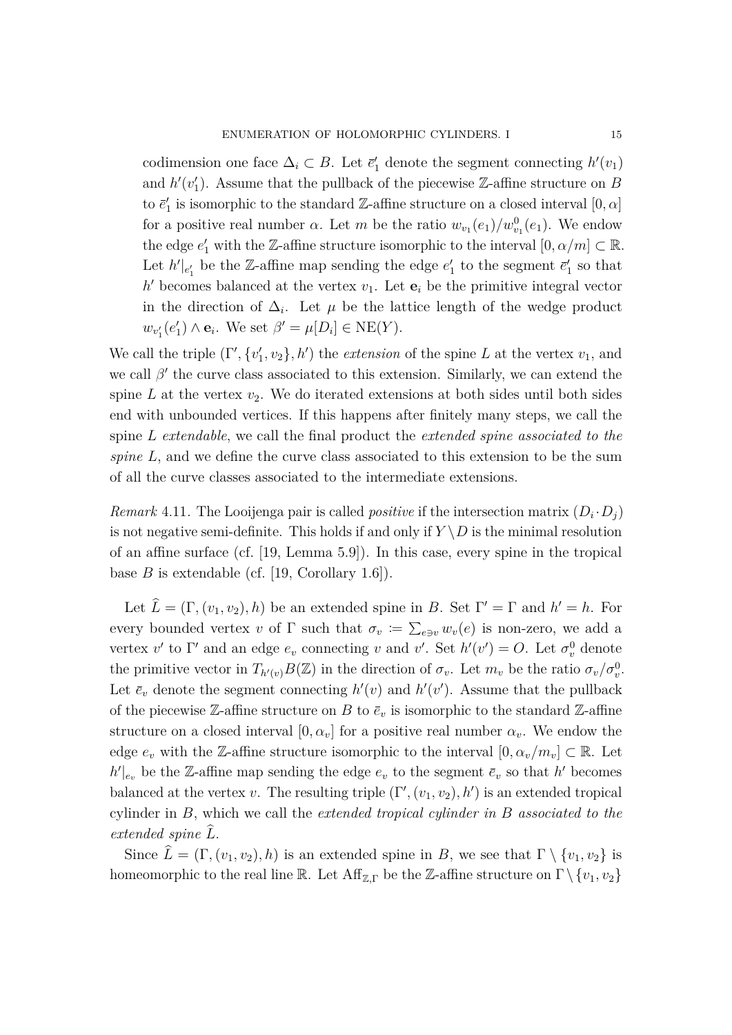codimension one face  $\Delta_i \subset B$ . Let  $\bar{e}'_1$  denote the segment connecting  $h'(v_1)$ and  $h'(v'_1)$ . Assume that the pullback of the piecewise Z-affine structure on *B* to  $\vec{e}_1'$  is isomorphic to the standard  $\mathbb{Z}\text{-affine}$  structure on a closed interval  $[0,\alpha]$ for a positive real number  $\alpha$ . Let  $m$  be the ratio  $w_{v_1}(e_1)/w_{v_1}^0(e_1)$ . We endow the edge  $e'_1$  with the Z-affine structure isomorphic to the interval  $[0, \alpha/m] \subset \mathbb{R}$ . Let  $h'|_{e'_1}$  be the Z-affine map sending the edge  $e'_1$  to the segment  $\bar{e}'_1$  so that  $h'$  becomes balanced at the vertex  $v_1$ . Let  $e_i$  be the primitive integral vector in the direction of  $\Delta_i$ . Let  $\mu$  be the lattice length of the wedge product  $w_{v_1'}(e_1') \wedge \mathbf{e}_i$ . We set  $\beta' = \mu[D_i] \in \text{NE}(Y)$ .

We call the triple  $(\Gamma', \{v_1', v_2\}, h')$  the *extension* of the spine *L* at the vertex  $v_1$ , and we call  $\beta'$  the curve class associated to this extension. Similarly, we can extend the spine  $L$  at the vertex  $v_2$ . We do iterated extensions at both sides until both sides end with unbounded vertices. If this happens after finitely many steps, we call the spine *L extendable*, we call the final product the *extended spine associated to the spine L*, and we define the curve class associated to this extension to be the sum of all the curve classes associated to the intermediate extensions.

*Remark* 4.11. The Looijenga pair is called *positive* if the intersection matrix  $(D_i \cdot D_j)$ is not negative semi-definite. This holds if and only if  $Y \setminus D$  is the minimal resolution of an affine surface (cf. [\[19,](#page-31-2) Lemma 5.9]). In this case, every spine in the tropical base  $B$  is extendable (cf. [\[19,](#page-31-2) Corollary 1.6]).

Let  $\hat{L} = (\Gamma, (v_1, v_2), h)$  be an extended spine in *B*. Set  $\Gamma' = \Gamma$  and  $h' = h$ . For every bounded vertex *v* of  $\Gamma$  such that  $\sigma_v := \sum_{e \ni v} w_v(e)$  is non-zero, we add a vertex  $v'$  to  $\Gamma'$  and an edge  $e_v$  connecting  $v$  and  $v'$ . Set  $h'(v') = O$ . Let  $\sigma_v^0$  denote the primitive vector in  $T_{h'(v)}B(\mathbb{Z})$  in the direction of  $\sigma_v$ . Let  $m_v$  be the ratio  $\sigma_v/\sigma_v^0$ . Let  $\bar{e}_v$  denote the segment connecting  $h'(v)$  and  $h'(v')$ . Assume that the pullback of the piecewise Z-affine structure on *B* to  $\bar{e}_v$  is isomorphic to the standard Z-affine structure on a closed interval  $[0, \alpha_v]$  for a positive real number  $\alpha_v$ . We endow the edge  $e_v$  with the Z-affine structure isomorphic to the interval  $[0, \alpha_v/m_v] \subset \mathbb{R}$ . Let  $h'|_{e_v}$  be the Z-affine map sending the edge  $e_v$  to the segment  $\bar{e}_v$  so that *h*' becomes balanced at the vertex *v*. The resulting triple  $(\Gamma', (v_1, v_2), h')$  is an extended tropical cylinder in *B*, which we call the *extended tropical cylinder in B associated to the extended spine L*b.

Since  $\hat{L} = (\Gamma, (v_1, v_2), h)$  is an extended spine in *B*, we see that  $\Gamma \setminus \{v_1, v_2\}$  is homeomorphic to the real line R. Let  $\text{Aff}_{\mathbb{Z},\Gamma}$  be the Z-affine structure on  $\Gamma \setminus \{v_1, v_2\}$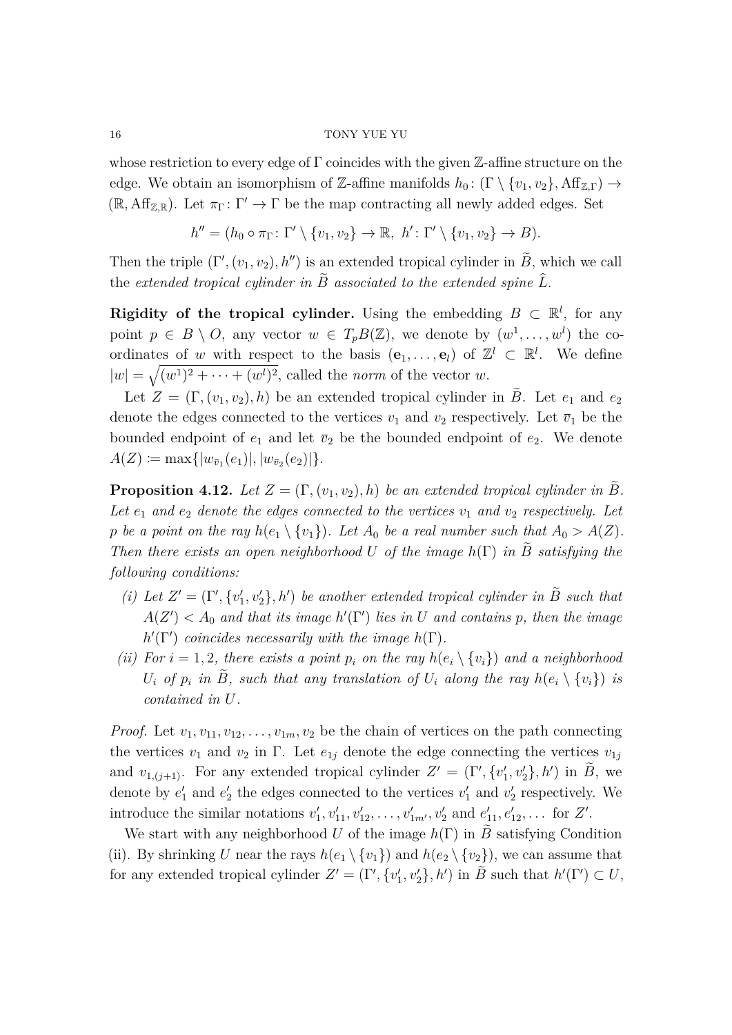whose restriction to every edge of  $\Gamma$  coincides with the given Z-affine structure on the edge. We obtain an isomorphism of Z-affine manifolds  $h_0: (\Gamma \setminus \{v_1, v_2\}, Aff_{\mathbb{Z}\Gamma}) \to$  $(\mathbb{R}, \text{Aff}_{\mathbb{Z}, \mathbb{R}})$ . Let  $\pi_{\Gamma}: \Gamma' \to \Gamma$  be the map contracting all newly added edges. Set

 $h'' = (h_0 \circ \pi_{\Gamma} : \Gamma' \setminus \{v_1, v_2\} \to \mathbb{R}, \ h' : \Gamma' \setminus \{v_1, v_2\} \to B).$ 

Then the triple  $(\Gamma', (v_1, v_2), h'')$  is an extended tropical cylinder in  $\tilde{B}$ , which we call the extended tropical cylinder in  $\tilde{B}$  associated to the extended spine  $\tilde{L}$ .

**Rigidity of the tropical cylinder.** Using the embedding  $B \subset \mathbb{R}^l$ , for any point  $p \in B \setminus O$ , any vector  $w \in T_pB(\mathbb{Z})$ , we denote by  $(w^1, \ldots, w^l)$  the coordinates of *w* with respect to the basis  $(e_1, \ldots, e_l)$  of  $\mathbb{Z}^l \subset \mathbb{R}^l$ . We define  $|w| = \sqrt{(w^1)^2 + \cdots + (w^l)^2}$ , called the *norm* of the vector *w*.

Let  $Z = (\Gamma, (v_1, v_2), h)$  be an extended tropical cylinder in  $\tilde{B}$ . Let  $e_1$  and  $e_2$ denote the edges connected to the vertices  $v_1$  and  $v_2$  respectively. Let  $\bar{v}_1$  be the bounded endpoint of  $e_1$  and let  $\overline{v}_2$  be the bounded endpoint of  $e_2$ . We denote  $A(Z) \coloneqq \max\{|w_{\bar{v}_1}(e_1)|, |w_{\bar{v}_2}(e_2)|\}.$ 

<span id="page-15-0"></span>**Proposition 4.12.** Let  $Z = (\Gamma, (v_1, v_2), h)$  be an extended tropical cylinder in B. Let  $e_1$  and  $e_2$  denote the edges connected to the vertices  $v_1$  and  $v_2$  respectively. Let *p be a point on the ray*  $h(e_1 \setminus \{v_1\})$ *. Let*  $A_0$  *be a real number such that*  $A_0 > A(Z)$ *. Then there exists an open neighborhood U of the image*  $h(\Gamma)$  *in B satisfying the following conditions:*

- (*i*) Let  $Z' = (\Gamma', \{v'_1, v'_2\}, h')$  be another extended tropical cylinder in  $\tilde{B}$  such that  $A(Z') < A_0$  *and that its image*  $h'(\Gamma')$  *lies in U and contains p, then the image*  $h'(\Gamma')$  *coincides necessarily with the image*  $h(\Gamma)$ *.*
- <span id="page-15-1"></span>*(ii)* For  $i = 1, 2$ , there exists a point  $p_i$  on the ray  $h(e_i \setminus \{v_i\})$  and a neighborhood *U*<sub>*i*</sub> *of p<sub>i</sub> in*  $\tilde{B}$ *, such that any translation of*  $U_i$  *along the ray*  $h(e_i \setminus \{v_i\})$  *is contained in U.*

*Proof.* Let  $v_1, v_{11}, v_{12}, \ldots, v_{1m}, v_2$  be the chain of vertices on the path connecting the vertices  $v_1$  and  $v_2$  in  $\Gamma$ . Let  $e_{1j}$  denote the edge connecting the vertices  $v_{1j}$ and  $v_{1,(j+1)}$ . For any extended tropical cylinder  $Z' = (\Gamma', \{v'_1, v'_2\}, h')$  in  $\tilde{B}$ , we denote by  $e'_1$  and  $e'_2$  the edges connected to the vertices  $v'_1$  and  $v'_2$  respectively. We introduce the similar notations  $v'_1, v'_{11}, v'_{12}, \ldots, v'_{1m'}$ ,  $v'_2$  and  $e'_{11}, e'_{12}, \ldots$  for *Z'*.

We start with any neighborhood *U* of the image  $h(\Gamma)$  in *B* satisfying Condition (ii). By shrinking *U* near the rays  $h(e_1 \setminus \{v_1\})$  and  $h(e_2 \setminus \{v_2\})$ , we can assume that for any extended tropical cylinder  $Z' = (\Gamma', \{v'_1, v'_2\}, h')$  in  $\widetilde{B}$  such that  $h'(\Gamma') \subset U$ ,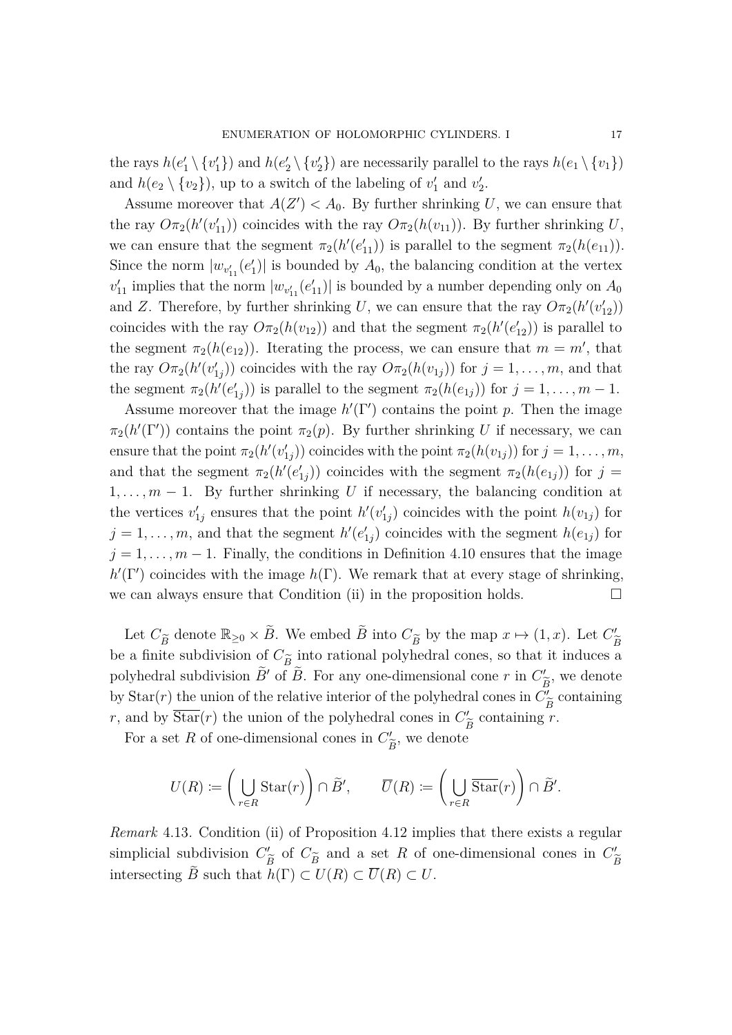the rays  $h(e'_1 \setminus \{v'_1\})$  and  $h(e'_2 \setminus \{v'_2\})$  are necessarily parallel to the rays  $h(e_1 \setminus \{v_1\})$ and  $h(e_2 \setminus \{v_2\})$ , up to a switch of the labeling of  $v'_1$  and  $v'_2$ .

Assume moreover that  $A(Z') < A_0$ . By further shrinking U, we can ensure that the ray  $O\pi_2(h'(v'_{11}))$  coincides with the ray  $O\pi_2(h(v_{11}))$ . By further shrinking *U*, we can ensure that the segment  $\pi_2(h'(e'_{11}))$  is parallel to the segment  $\pi_2(h(e_{11}))$ . Since the norm  $|w_{v'_{11}}(e'_1)|$  is bounded by  $A_0$ , the balancing condition at the vertex  $v'_{11}$  implies that the norm  $|w_{v'_{11}}(e'_{11})|$  is bounded by a number depending only on  $A_0$ and *Z*. Therefore, by further shrinking *U*, we can ensure that the ray  $O_{\pi_2}(h'(v'_{12}))$ coincides with the ray  $O \pi_2(h(v_{12}))$  and that the segment  $\pi_2(h'(e'_{12}))$  is parallel to the segment  $\pi_2(h(e_{12}))$ . Iterating the process, we can ensure that  $m = m'$ , that the ray  $O_{\pi_2}(h'(v'_{1j}))$  coincides with the ray  $O_{\pi_2}(h(v_{1j}))$  for  $j = 1, \ldots, m$ , and that the segment  $\pi_2(h'(e'_{1j}))$  is parallel to the segment  $\pi_2(h(e_{1j}))$  for  $j = 1, \ldots, m - 1$ .

Assume moreover that the image  $h'(\Gamma')$  contains the point *p*. Then the image  $\pi_2(h'(\Gamma'))$  contains the point  $\pi_2(p)$ . By further shrinking *U* if necessary, we can ensure that the point  $\pi_2(h'(v'_{1j}))$  coincides with the point  $\pi_2(h(v_{1j}))$  for  $j = 1, \ldots, m$ , and that the segment  $\pi_2(h'(e'_{1j}))$  coincides with the segment  $\pi_2(h(e_{1j}))$  for  $j =$ 1*, . . . , m* − 1. By further shrinking *U* if necessary, the balancing condition at the vertices  $v'_{1j}$  ensures that the point  $h'(v'_{1j})$  coincides with the point  $h(v_{1j})$  for  $j = 1, \ldots, m$ , and that the segment  $h'(e'_{1j})$  coincides with the segment  $h(e_{1j})$  for  $j = 1, \ldots, m - 1$ . Finally, the conditions in Definition [4.10](#page-13-0) ensures that the image  $h'(\Gamma')$  coincides with the image  $h(\Gamma)$ . We remark that at every stage of shrinking, we can always ensure that Condition [\(ii\)](#page-15-1) in the proposition holds.  $\Box$ 

Let  $C_{\widetilde{B}}$  denote  $\mathbb{R}_{\geq 0} \times \widetilde{B}$ . We embed  $\widetilde{B}$  into  $C_{\widetilde{B}}$  by the map  $x \mapsto (1, x)$ . Let  $C'_{\widetilde{B}}$ be a finite subdivision of  $C_{\tilde{B}}$  into rational polyhedral cones, so that it induces a<br>polyhedral subdivision  $\tilde{P}'$  of  $\tilde{P}$ . For any are dimensional cones, in  $C'$ , we denote polyhedral subdivision  $\tilde{B}'$  of  $\tilde{B}$ . For any one-dimensional cone *r* in  $C'_{\tilde{B}}$ , we denote by  $\text{Star}(r)$  the union of the relative interior of the polyhedral cones in  $C^{\prime}_{\tilde{P}}$  containing  $F$ , and by  $\overline{\text{Star}}(r)$  the union of the polyhedral cones in  $C'_{\tilde{P}}$  containing *r* containing *r*.

*B*e For a set R of one-dimensional cones in  $C_3^{\prime}$ *B*e , we denote

$$
U(R) \coloneqq \left(\bigcup_{r \in R} \mathrm{Star}(r)\right) \cap \tilde{B}', \qquad \overline{U}(R) \coloneqq \left(\bigcup_{r \in R} \overline{\mathrm{Star}}(r)\right) \cap \tilde{B}'.
$$

<span id="page-16-0"></span>*Remark* 4.13*.* Condition [\(ii\)](#page-15-1) of Proposition [4.12](#page-15-0) implies that there exists a regular simplicial subdivision  $C'_{\widetilde{B}}$  of  $C_{\widetilde{B}}$  and a set *R* of one-dimensional cones in  $C'_{\widetilde{B}}$ <br>intervals  $\widetilde{B}$  and that  $I(\Gamma) \subset I(P) \subset \overline{U}(P) \subset U$ *B*e *B*e intersecting *B* such that  $h(\Gamma) \subset U(R) \subset \overline{U}(R) \subset U$ .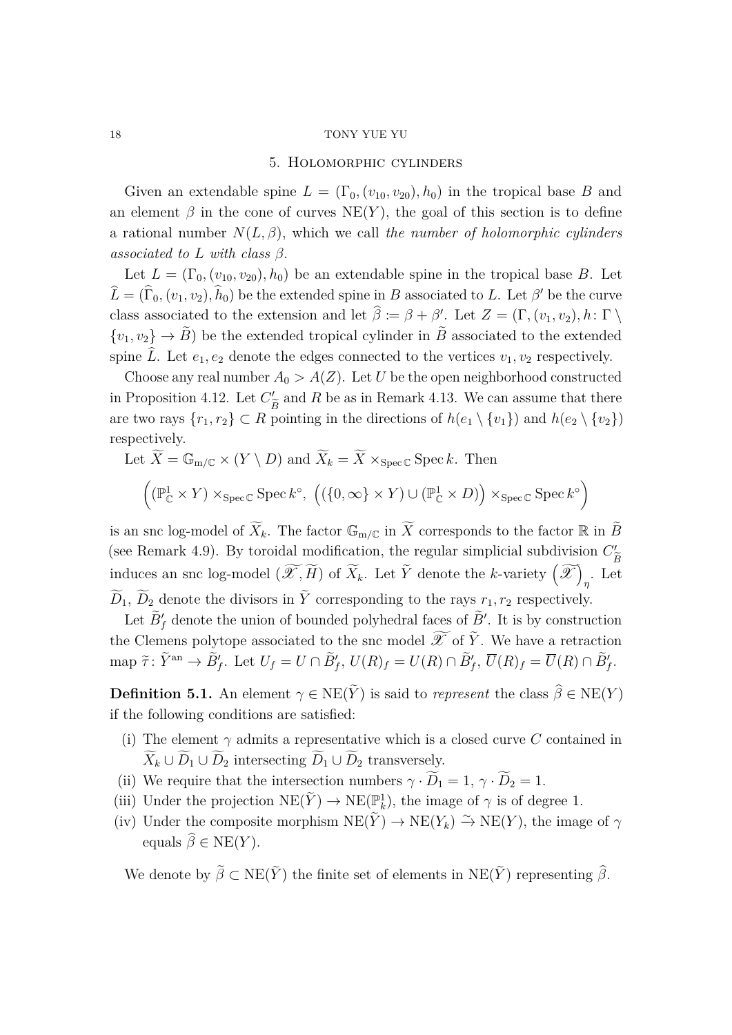#### 5. Holomorphic cylinders

<span id="page-17-0"></span>Given an extendable spine  $L = (\Gamma_0, (v_{10}, v_{20}), h_0)$  in the tropical base *B* and an element  $\beta$  in the cone of curves NE(*Y*), the goal of this section is to define a rational number *N*(*L, β*), which we call *the number of holomorphic cylinders associated to L with class β*.

Let  $L = (\Gamma_0, (v_{10}, v_{20}), h_0)$  be an extendable spine in the tropical base *B*. Let  $\hat{L} = (\hat{\Gamma}_0, (v_1, v_2), \hat{h}_0)$  be the extended spine in *B* associated to *L*. Let *β*<sup> $\prime$ </sup> be the curve class associated to the extension and let  $\hat{\beta} := \beta + \beta'$ . Let  $Z = (\Gamma, (v_1, v_2), h : \Gamma \setminus \mathbb{R})$  ${v_1, v_2} \rightarrow \tilde{B}$  be the extended tropical cylinder in  $\tilde{B}$  associated to the extended spine  $\hat{L}$ . Let  $e_1, e_2$  denote the edges connected to the vertices  $v_1, v_2$  respectively.

Choose any real number  $A_0 > A(Z)$ . Let *U* be the open neighborhood constructed in Proposition [4.12.](#page-15-0) Let  $C_p^{\prime}$  and R be as in Remark [4.13.](#page-16-0) We can assume that there are two rays  $\{r_1, r_2\} \subset R$  pointing in the directions of  $h(e_1 \setminus \{v_1\})$  and  $h(e_2 \setminus \{v_2\})$ respectively.

Let 
$$
\widetilde{X} = \mathbb{G}_{m/\mathbb{C}} \times (Y \setminus D)
$$
 and  $\widetilde{X}_k = \widetilde{X} \times_{\text{Spec } \mathbb{C}} \text{Spec } k$ . Then  
\n
$$
\left( (\mathbb{P}^1_{\mathbb{C}} \times Y) \times_{\text{Spec } \mathbb{C}} \text{Spec } k^{\circ}, \ ((\{0, \infty\} \times Y) \cup (\mathbb{P}^1_{\mathbb{C}} \times D)) \times_{\text{Spec } \mathbb{C}} \text{Spec } k^{\circ} \right)
$$

is an snc log-model of  $\widetilde{X}_k$ . The factor  $\mathbb{G}_{m/\mathbb{C}}$  in  $\widetilde{X}$  corresponds to the factor  $\mathbb{R}$  in  $\widetilde{B}$ (see Remark [4.9\)](#page-13-1). By toroidal modification, the regular simplicial subdivision  $C_1^{\prime}$ induces an snc log-model  $(\widetilde{\mathscr{X}}, \widetilde{H})$  of  $\widetilde{X}_k$ . Let  $\widetilde{Y}$  denote the *k*-variety  $(\widetilde{\mathscr{X}})_{n}$ . Let *η* . Let  $\widetilde{D}_{1},$   $\widetilde{D}_{2}$  denote the divisors in  $\tilde{Y}$  corresponding to the rays  $r_{1},r_{2}$  respectively.

Let  $\widetilde{B}'_f$  denote the union of bounded polyhedral faces of  $\widetilde{B}'$ . It is by construction the Clemens polytope associated to the snc model  $\widetilde{\mathscr{X}}$  of  $\widetilde{Y}$ . We have a retraction map  $\tilde{\tau} \colon \tilde{Y}^{\rm an} \to \tilde{B}'_f$ . Let  $U_f = U \cap \tilde{B}'_f$ ,  $U(R)_f = U(R) \cap \tilde{B}'_f$ ,  $\overline{U}(R)_f = \overline{U}(R) \cap \tilde{B}'_f$ .

<span id="page-17-1"></span>**Definition 5.1.** An element  $\gamma \in \text{NE}(Y)$  is said to *represent* the class  $\hat{\beta} \in \text{NE}(Y)$ if the following conditions are satisfied:

- (i) The element  $\gamma$  admits a representative which is a closed curve C contained in  $\widetilde{X}_k \cup \widetilde{D}_1 \cup \widetilde{D}_2$  intersecting  $\widetilde{D}_1 \cup \widetilde{D}_2$  transversely.
- <span id="page-17-2"></span>(ii) We require that the intersection numbers  $\gamma \cdot \widetilde{D}_1 = 1, \gamma \cdot \widetilde{D}_2 = 1$ .
- <span id="page-17-3"></span>(iii) Under the projection  $NE(\tilde{Y}) \to NE(\mathbb{P}_k^1)$ , the image of  $\gamma$  is of degree 1.
- (iv) Under the composite morphism  $NE(\tilde{Y}) \to NE(Y_k) \xrightarrow{\sim} NE(Y)$ , the image of  $\gamma$ equals  $\widehat{\beta} \in \text{NE}(Y)$ .

We denote by  $\tilde{\beta} \subset \text{NE}(\tilde{Y})$  the finite set of elements in  $\text{NE}(\tilde{Y})$  representing  $\hat{\beta}$ .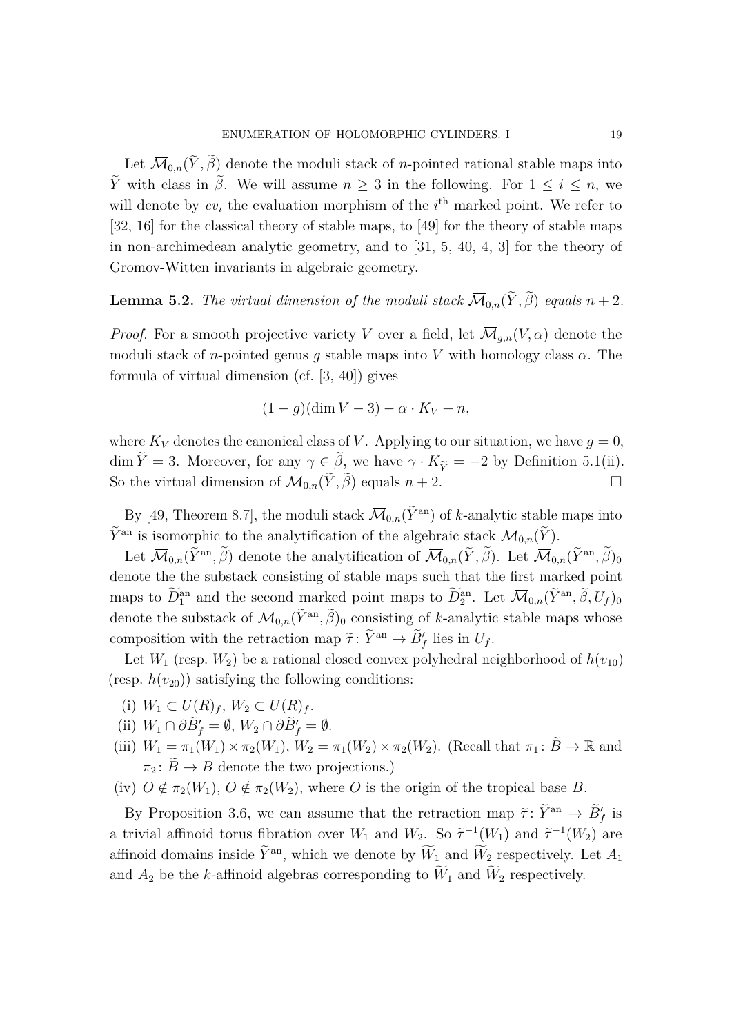Let  $\overline{\mathcal{M}}_{0,n}(Y,\beta)$  denote the moduli stack of *n*-pointed rational stable maps into *Y* with class in  $\tilde{\beta}$ . We will assume *n* ≥ 3 in the following. For 1 ≤ *i* ≤ *n*, we will denote by  $ev_i$  the evaluation morphism of the  $i<sup>th</sup>$  marked point. We refer to [\[32,](#page-31-14) [16\]](#page-30-12) for the classical theory of stable maps, to [\[49\]](#page-32-5) for the theory of stable maps in non-archimedean analytic geometry, and to [\[31,](#page-31-15) [5,](#page-30-13) [40,](#page-32-16) [4,](#page-30-14) [3\]](#page-30-15) for the theory of Gromov-Witten invariants in algebraic geometry.

# <span id="page-18-1"></span>**Lemma 5.2.** *The virtual dimension of the moduli stack*  $\overline{\mathcal{M}}_{0,n}(Y, \beta)$  *equals*  $n + 2$ *.*

*Proof.* For a smooth projective variety *V* over a field, let  $\overline{\mathcal{M}}_{q,n}(V, \alpha)$  denote the moduli stack of *n*-pointed genus *g* stable maps into *V* with homology class *α*. The formula of virtual dimension (cf. [\[3,](#page-30-15) [40\]](#page-32-16)) gives

$$
(1-g)(\dim V - 3) - \alpha \cdot K_V + n,
$$

where  $K_V$  denotes the canonical class of *V*. Applying to our situation, we have  $q = 0$ , dim  $Y = 3$ . Moreover, for any  $\gamma \in \beta$ , we have  $\gamma \cdot K_{\widetilde{Y}} = -2$  by Definition [5.1\(](#page-17-1)[ii\)](#page-17-2). So the virtual dimension of  $\overline{\mathcal{M}}_{0,n}(\tilde{Y}, \tilde{\beta})$  equals  $n+2$ .

By [\[49,](#page-32-5) Theorem 8.7], the moduli stack  $\overline{\mathcal{M}}_{0,n}(\tilde{Y}^{\text{an}})$  of *k*-analytic stable maps into  $\widetilde{Y}^{\text{an}}$  is isomorphic to the analytification of the algebraic stack  $\overline{\mathcal{M}}_{0,n}(\widetilde{Y})$ .

Let  $\overline{\mathcal{M}}_{0,n}(\tilde{Y}^{\mathrm{an}}, \tilde{\beta})$  denote the analytification of  $\overline{\mathcal{M}}_{0,n}(\tilde{Y}, \tilde{\beta})$ . Let  $\overline{\mathcal{M}}_{0,n}(\tilde{Y}^{\mathrm{an}}, \tilde{\beta})_0$ denote the the substack consisting of stable maps such that the first marked point maps to  $\overline{D}_1^{\text{an}}$  and the second marked point maps to  $\overline{D}_2^{\text{an}}$ . Let  $\overline{M}_{0,n}(\widetilde{Y}^{\text{an}}, \widetilde{\beta}, U_f)_0$ denote the substack of  $\overline{\mathcal{M}}_{0,n}(\tilde{Y}^{\text{an}}, \tilde{\beta})_0$  consisting of *k*-analytic stable maps whose composition with the retraction map  $\tilde{\tau}$ :  $\tilde{Y}^{\text{an}} \to \tilde{B}'_f$  lies in  $U_f$ .

Let  $W_1$  (resp.  $W_2$ ) be a rational closed convex polyhedral neighborhood of  $h(v_{10})$ (resp.  $h(v_{20})$ ) satisfying the following conditions:

- (i)  $W_1 \subset U(R)_f$ ,  $W_2 \subset U(R)_f$ .
- $(iii) \ W_1 \cap \partial \tilde{B}'_f = \emptyset, W_2 \cap \partial \tilde{B}'_f = \emptyset.$
- (iii)  $W_1 = \pi_1(W_1) \times \pi_2(W_1)$ ,  $W_2 = \pi_1(W_2) \times \pi_2(W_2)$ . (Recall that  $\pi_1 \colon \widetilde{B} \to \mathbb{R}$  and  $\pi_2 \colon \widetilde{B} \to B$  denote the two projections.)
- (iv)  $O \notin \pi_2(W_1)$ ,  $O \notin \pi_2(W_2)$ , where *O* is the origin of the tropical base *B*.

<span id="page-18-0"></span>By Proposition [3.6,](#page-10-0) we can assume that the retraction map  $\tilde{\tau}$ :  $\tilde{Y}^{\text{an}} \to \tilde{B}'_f$  is a trivial affinoid torus fibration over  $W_1$  and  $W_2$ . So  $\tilde{\tau}^{-1}(W_1)$  and  $\tilde{\tau}^{-1}(W_2)$  are affinoid domains inside  $\tilde{Y}^{\text{an}}$ , which we denote by  $\tilde{W}_1$  and  $\tilde{W}_2$  respectively. Let  $A_1$ and  $A_2$  be the *k*-affinoid algebras corresponding to  $\widetilde{W}_1$  and  $\widetilde{W}_2$  respectively.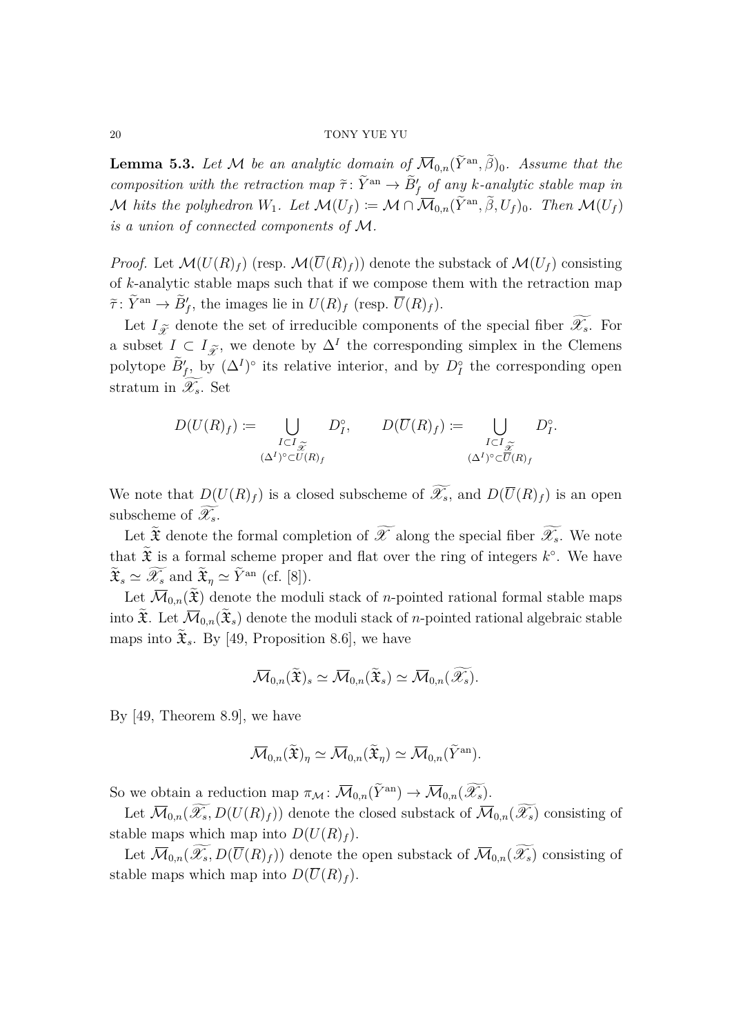**Lemma 5.3.** Let M be an analytic domain of  $\overline{\mathcal{M}}_{0,n}(\tilde{Y}^{\text{an}}, \tilde{\beta})_0$ . Assume that the *composition with the retraction map*  $\tilde{\tau}: \tilde{Y}^{an} \to \tilde{B}'_f$  *of any k-analytic stable map in*  $\mathcal{M}$  *hits the polyhedron*  $W_1$ *. Let*  $\mathcal{M}(U_f) := \mathcal{M} \cap \overline{\mathcal{M}}_{0,n}(\widetilde{Y}^{an}, \beta, U_f)_0$ *. Then*  $\mathcal{M}(U_f)$ *is a union of connected components of* M*.*

*Proof.* Let  $\mathcal{M}(U(R)_f)$  (resp.  $\mathcal{M}(\overline{U}(R)_f)$ ) denote the substack of  $\mathcal{M}(U_f)$  consisting of *k*-analytic stable maps such that if we compose them with the retraction map  $\tilde{\tau}$ :  $\tilde{Y}^{\text{an}} \to \tilde{B}'_f$ , the images lie in  $U(R)_f$  (resp.  $\overline{U}(R)_f$ ).

Let  $I_{\widetilde{\mathscr{X}}}$  denote the set of irreducible components of the special fiber  $\widetilde{\mathscr{X}_{s}}$ . For a subset  $I \subset I_{\widetilde{\mathscr{X}}}$ , we denote by  $\Delta^I$  the corresponding simplex in the Clemens polytope  $\tilde{B}'_f$ , by  $(\Delta^I)^\circ$  its relative interior, and by  $D_I^\circ$  the corresponding open stratum in  $\widetilde{\mathscr{X}_{s}}$ . Set

$$
D(U(R)_f) := \bigcup_{\substack{I \subset I_{\widetilde{\mathscr{X}}} \\ (\Delta^I)^{\circ} \subset U(R)_f}} D_I^{\circ}, \qquad D(\overline{U}(R)_f) := \bigcup_{\substack{I \subset I_{\widetilde{\mathscr{X}}} \\ (\Delta^I)^{\circ} \subset \overline{U}(R)_f}} D_I^{\circ}.
$$

We note that  $D(U(R)_f)$  is a closed subscheme of  $\widetilde{\mathscr{X}_s}$ , and  $D(\overline{U}(R)_f)$  is an open subscheme of  $\mathscr{X}_s$ .

Let  $\widetilde{\mathfrak{X}}$  denote the formal completion of  $\widetilde{\mathscr{X}}$  along the special fiber  $\widetilde{\mathscr{X}}_s$ . We note that  $\tilde{\mathfrak{X}}$  is a formal scheme proper and flat over the ring of integers  $k^{\circ}$ . We have  $\widetilde{\mathfrak{X}}_s \simeq \widetilde{\mathscr{X}_s}$  and  $\widetilde{\mathfrak{X}}_{\eta} \simeq \widetilde{Y}^{\mathrm{an}}$  (cf. [\[8\]](#page-30-16)).

Let  $\overline{\mathcal{M}}_{0,n}(\widetilde{\mathfrak{X}})$  denote the moduli stack of *n*-pointed rational formal stable maps into  $\mathfrak{X}$ . Let  $\overline{\mathcal{M}}_{0,n}(\mathfrak{X}_s)$  denote the moduli stack of *n*-pointed rational algebraic stable maps into  $\mathfrak{X}_s$ . By [\[49,](#page-32-5) Proposition 8.6], we have

$$
\overline{\mathcal{M}}_{0,n}(\widetilde{\mathfrak{X}})_{s} \simeq \overline{\mathcal{M}}_{0,n}(\widetilde{\mathfrak{X}}_{s}) \simeq \overline{\mathcal{M}}_{0,n}(\widetilde{\mathscr{X}_{s}}).
$$

By [\[49,](#page-32-5) Theorem 8.9], we have

$$
\overline{\mathcal{M}}_{0,n}(\widetilde{\mathfrak{X}})_{\eta} \simeq \overline{\mathcal{M}}_{0,n}(\widetilde{\mathfrak{X}}_{\eta}) \simeq \overline{\mathcal{M}}_{0,n}(\widetilde{Y}^{\mathrm{an}}).
$$

So we obtain a reduction map  $\pi_{\mathcal{M}} \colon \overline{\mathcal{M}}_{0,n}(\widetilde{\mathcal{Y}}^{\text{an}}) \to \overline{\mathcal{M}}_{0,n}(\widetilde{\mathcal{X}}_s)$ .

Let  $\overline{\mathcal{M}}_{0,n}(\widetilde{\mathscr{X}_s},D(U(R)_f))$  denote the closed substack of  $\overline{\mathcal{M}}_{0,n}(\widetilde{\mathscr{X}_s})$  consisting of stable maps which map into  $D(U(R)_f)$ .

Let  $\overline{\mathcal{M}}_{0,n}(\widetilde{\mathscr{X}_s},D(\overline{U}(R)_f))$  denote the open substack of  $\overline{\mathcal{M}}_{0,n}(\widetilde{\mathscr{X}_s})$  consisting of stable maps which map into  $D(\overline{U}(R)_f)$ .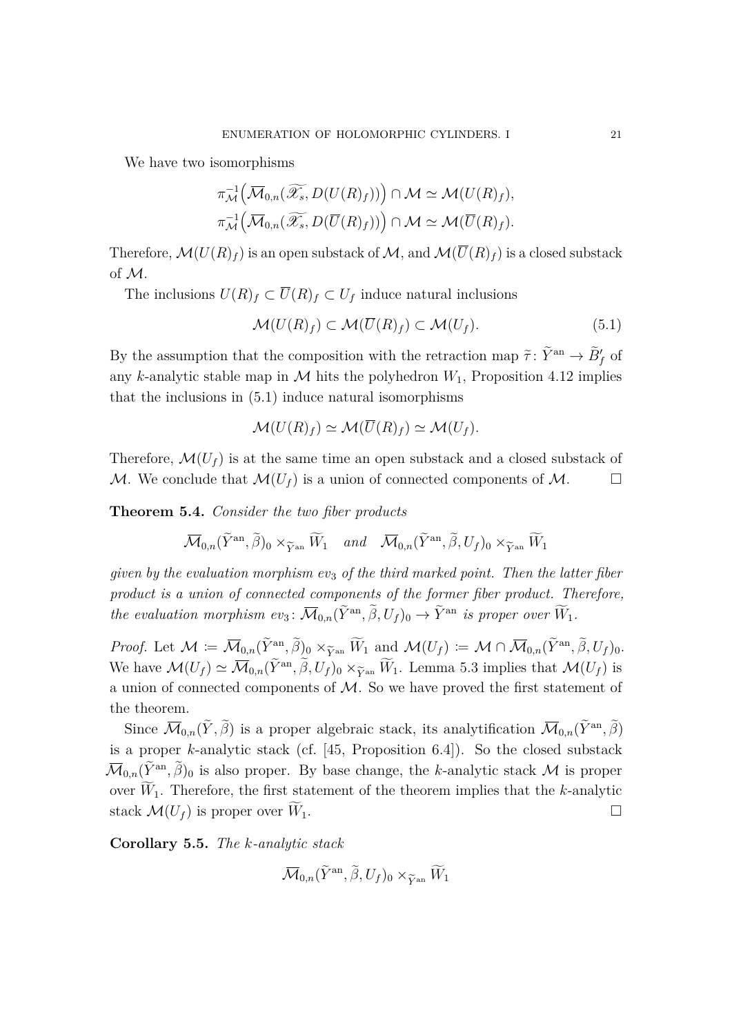We have two isomorphisms

$$
\pi_{\mathcal{M}}^{-1}\left(\overline{\mathcal{M}}_{0,n}(\widetilde{\mathscr{X}_s},D(U(R)_f))\right)\cap \mathcal{M}\simeq \mathcal{M}(U(R)_f),
$$
  

$$
\pi_{\mathcal{M}}^{-1}\left(\overline{\mathcal{M}}_{0,n}(\widetilde{\mathscr{X}_s},D(\overline{U}(R)_f))\right)\cap \mathcal{M}\simeq \mathcal{M}(\overline{U}(R)_f).
$$

Therefore,  $\mathcal{M}(U(R)_f)$  is an open substack of  $\mathcal{M}$ , and  $\mathcal{M}(\overline{U}(R)_f)$  is a closed substack of M.

The inclusions  $U(R)_f \subset \overline{U}(R)_f \subset U_f$  induce natural inclusions

<span id="page-20-1"></span>
$$
\mathcal{M}(U(R)_f) \subset \mathcal{M}(\overline{U}(R)_f) \subset \mathcal{M}(U_f). \tag{5.1}
$$

By the assumption that the composition with the retraction map  $\tilde{\tau}$ :  $\tilde{Y}^{\text{an}} \to \tilde{B}'_f$  of any *k*-analytic stable map in  $M$  hits the polyhedron  $W_1$ , Proposition [4.12](#page-15-0) implies that the inclusions in [\(5.1\)](#page-20-1) induce natural isomorphisms

$$
\mathcal{M}(U(R)_f) \simeq \mathcal{M}(\overline{U}(R)_f) \simeq \mathcal{M}(U_f).
$$

Therefore,  $\mathcal{M}(U_f)$  is at the same time an open substack and a closed substack of M. We conclude that  $\mathcal{M}(U_f)$  is a union of connected components of M.

<span id="page-20-0"></span>**Theorem 5.4.** *Consider the two fiber products*

$$
\overline{\mathcal{M}}_{0,n}(\widetilde{Y}^{\mathrm{an}}, \widetilde{\beta})_0 \times_{\widetilde{Y}^{\mathrm{an}}} \widetilde{W}_1 \quad \text{and} \quad \overline{\mathcal{M}}_{0,n}(\widetilde{Y}^{\mathrm{an}}, \widetilde{\beta}, U_f)_0 \times_{\widetilde{Y}^{\mathrm{an}}} \widetilde{W}_1
$$

*given by the evaluation morphism ev*<sup>3</sup> *of the third marked point. Then the latter fiber product is a union of connected components of the former fiber product. Therefore, the evaluation morphism*  $ev_3$ :  $\overline{\mathcal{M}}_{0,n}(\tilde{Y}^{\text{an}}, \tilde{\beta}, U_f)_0 \rightarrow \tilde{Y}^{\text{an}}$  *is proper over*  $\overline{W}_1$ *.* 

*Proof.* Let  $\mathcal{M} \coloneqq \overline{\mathcal{M}}_{0,n}(\tilde{Y}^{\text{an}}, \tilde{\beta})_0 \times_{\widetilde{Y}^{\text{an}}} \tilde{W}_1$  and  $\mathcal{M}(U_f) \coloneqq \mathcal{M} \cap \overline{\mathcal{M}}_{0,n}(\tilde{Y}^{\text{an}}, \tilde{\beta}, U_f)_0.$ <br>We have  $\mathcal{M}(U) \propto \overline{\mathcal{M}}_{0,n}(\tilde{Y}^{\text{an}}, \tilde{\beta}, U_f) \times_{\mathcal{M}} \widetilde{W}_1$  Je We have  $\mathcal{M}(U_f) \simeq \overline{\mathcal{M}}_{0,n}(\tilde{Y}^{\text{an}}, \tilde{\beta}, U_f)_0 \times_{\tilde{Y}^{\text{an}}} \tilde{W}_1$ . Lemma [5.3](#page-18-0) implies that  $\mathcal{M}(U_f)$  is a union of connected components of  $M$ . So we have proved the first statement of the theorem.

Since  $\overline{\mathcal{M}}_{0,n}(\tilde{Y}, \tilde{\beta})$  is a proper algebraic stack, its analytification  $\overline{\mathcal{M}}_{0,n}(\tilde{Y}^{an}, \tilde{\beta})$ is a proper *k*-analytic stack (cf. [\[45,](#page-32-3) Proposition 6.4]). So the closed substack  $\overline{\mathcal{M}}_{0,n}(\tilde{Y}^{\text{an}}, \tilde{\beta})_0$  is also proper. By base change, the *k*-analytic stack  $\mathcal M$  is proper over  $\widetilde{W}_1$ . Therefore, the first statement of the theorem implies that the *k*-analytic stack  $\mathcal{M}(U_f)$  is proper over  $W_1$ .

**Corollary 5.5.** *The k-analytic stack*

$$
{\mathbin{\smash{\,\,\overline{\!\!\mathcal M\!}\,}}}_{0,n}(\widetilde Y^{\rm an},\widetilde\beta,U_f)_0\times_{\widetilde Y^{\rm an}}\widetilde W_1
$$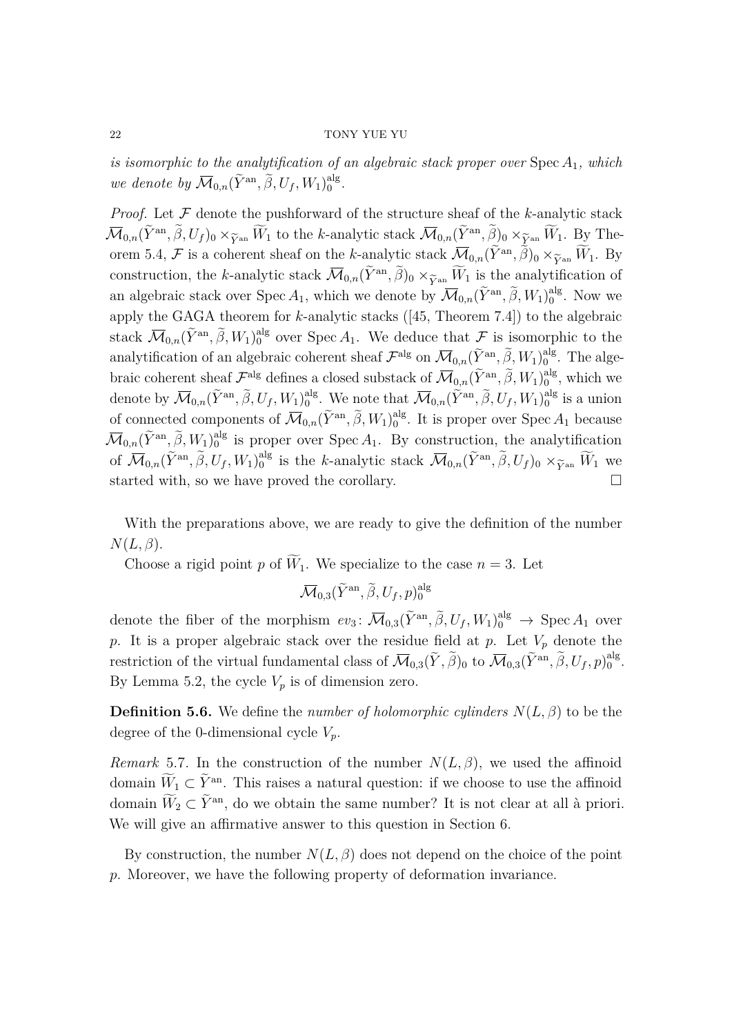*is isomorphic to the analytification of an algebraic stack proper over* Spec *A*1*, which we denote by*  $\overline{\mathcal{M}}_{0,n}(\tilde{Y}^{\text{an}}, \tilde{\beta}, U_f, W_1)_{0}^{\text{alg}}$ 0 *.*

*Proof.* Let  $F$  denote the pushforward of the structure sheaf of the *k*-analytic stack  $\overline{\mathcal{M}}_{0,n}(\tilde{Y}^{\mathrm{an}}, \tilde{\beta}, U_f)_0 \times_{\widetilde{Y}^{\mathrm{an}}} \tilde{W}_1$  to the *k*-analytic stack  $\overline{\mathcal{M}}_{0,n}(\tilde{Y}^{\mathrm{an}}, \tilde{\beta})_0 \times_{\widetilde{Y}^{\mathrm{an}}} \tilde{W}_1$ . By The-<br>even  $\tilde{Y}^A$ ,  $\overline{\mathcal{X}}$  is a schement shock on the *k* analyt orem [5.4,](#page-20-0) F is a coherent sheaf on the *k*-analytic stack  $\overline{\mathcal{M}}_{0,n}(\tilde{Y}^{\rm an}, \tilde{\beta})_0 \times_{\widetilde{Y}^{\rm an}} \tilde{W}_1$ . By construction, the *k*-analytic stack  $\overline{\mathcal{M}}_{0,n}(\tilde{Y}^{an}, \tilde{\beta})_0 \times_{\widetilde{Y}^{an}} \tilde{W}_1$  is the analytification of an algebraic stack over Spec  $A_1$ , which we denote by  $\overline{\mathcal{M}}_{0,n}(\widetilde{Y}^{\rm an}, \widetilde{\beta}, W_1)_{0}^{\rm alg}$  $_{0}^{\text{alg}}$ . Now we apply the GAGA theorem for *k*-analytic stacks ([\[45,](#page-32-3) Theorem 7.4]) to the algebraic stack  $\overline{\mathcal{M}}_{0,n}(\tilde{Y}^{\text{an}}, \tilde{\beta}, W_1)^{\text{alg}}_0$  over Spec  $A_1$ . We deduce that  $\mathcal F$  is isomorphic to the analytification of an algebraic coherent sheaf  $\mathcal{F}^{\text{alg}}$  on  $\overline{\mathcal{M}}_{0,n}(\tilde{Y}^{\text{an}}, \tilde{\beta}, W_1)_{0}^{\text{alg}}$  $_0^{\text{alg}}$ . The algebraic coherent sheaf  $\mathcal{F}^{\text{alg}}$  defines a closed substack of  $\overline{\mathcal{M}}_{0,n}(\widetilde{Y}^{\text{an}}, \widetilde{\beta}, W_1)_{0}^{\text{alg}}$  $_0^{\text{alg}}$ , which we denote by  $\overline{\mathcal{M}}_{0,n}(\widetilde{Y}^{\text{an}}, \widetilde{\beta}, U_f, W_1)_{0}^{\text{alg}}$ <sup>alg</sup>. We note that  $\overline{\mathcal{M}}_{0,n}(\widetilde{Y}^{\text{an}}, \widetilde{\beta}, U_f, W_1)_{0}^{\text{alg}}$  $_0^{\text{alg}}$  is a union of connected components of  $\overline{\mathcal{M}}_{0,n}(\tilde{Y}^{\text{an}}, \tilde{\beta}, W_1)_{0}^{\text{alg}}$  $_0^{\text{alg}}$ . It is proper over Spec  $A_1$  because  $\mathcal{\overline{M}}_{0,n}(\widetilde{Y}^{\mathrm{an}}, \widetilde{\beta}, W_1)_{0}^{\mathrm{alg}}$  $_{0}^{\text{alg}}$  is proper over Spec  $A_1$ . By construction, the analytification of  $\overline{\mathcal{M}}_{0,n}(\widetilde{Y}^{\text{an}}, \widetilde{\beta}, U_f, W_1)_{0}^{\text{alg}}$ <sup>alg</sup> is the *k*-analytic stack  $\overline{\mathcal{M}}_{0,n}(\tilde{Y}^{\text{an}}, \tilde{\beta}, U_f)_0 \times_{\tilde{Y}^{\text{an}}} \tilde{W}_1$  we started with, so we have proved the corollary.

With the preparations above, we are ready to give the definition of the number *N*(*L, β*).

Choose a rigid point p of  $\widetilde{W}_1$ . We specialize to the case  $n = 3$ . Let

 $\mathcal{\overline{M}}_{0, 3}(\widetilde{Y}^\mathrm{an}, \widetilde{\beta}, U_f, p)_0^{\mathrm{alg}}$  $\mathbf{0}$ 

denote the fiber of the morphism  $ev_3$ :  $\overline{\mathcal{M}}_{0,3}(\tilde{Y}^{\text{an}}, \tilde{\beta}, U_f, W_1)^{\text{alg}}_{0} \rightarrow \text{Spec } A_1$  over *p*. It is a proper algebraic stack over the residue field at *p*. Let  $V_p$  denote the restriction of the virtual fundamental class of  $\overline{\mathcal{M}}_{0,3}(\tilde{Y}, \tilde{\beta})_0$  to  $\overline{\mathcal{M}}_{0,3}(\tilde{Y}^{an}, \tilde{\beta}, U_f, p)_0^{\text{alg}}$  $_{0}^{\text{alg}}$ . By Lemma [5.2,](#page-18-1) the cycle  $V_p$  is of dimension zero.

**Definition 5.6.** We define the *number of holomorphic cylinders*  $N(L, \beta)$  to be the degree of the 0-dimensional cycle *Vp*.

*Remark* 5.7. In the construction of the number  $N(L, \beta)$ , we used the affinoid domain  $W_1 \subset Y^{\text{an}}$ . This raises a natural question: if we choose to use the affinoid domain  $\tilde{W}_2 \subset \tilde{Y}$ <sup>an</sup>, do we obtain the same number? It is not clear at all à priori. We will give an affirmative answer to this question in Section [6.](#page-22-0)

By construction, the number  $N(L, \beta)$  does not depend on the choice of the point *p*. Moreover, we have the following property of deformation invariance.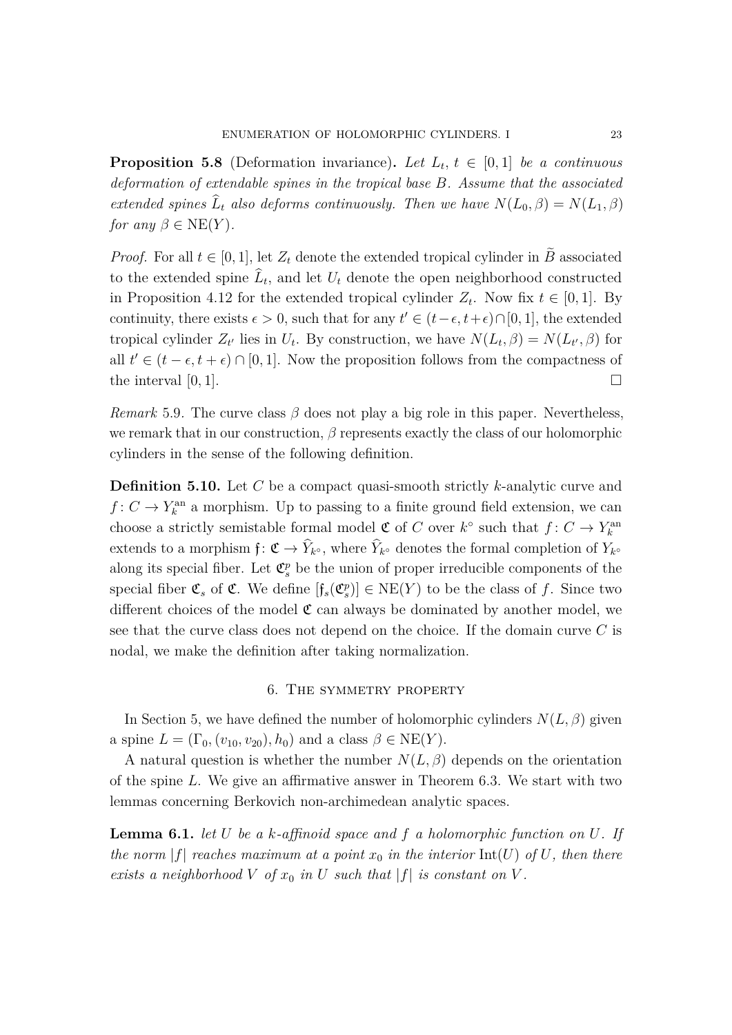**Proposition 5.8** (Deformation invariance). Let  $L_t$ ,  $t \in [0,1]$  be a continuous *deformation of extendable spines in the tropical base B. Assume that the associated extended spines*  $L_t$  *also deforms continuously. Then we have*  $N(L_0, \beta) = N(L_1, \beta)$ *for any*  $\beta \in \text{NE}(Y)$ *.* 

*Proof.* For all  $t \in [0, 1]$ , let  $Z_t$  denote the extended tropical cylinder in *B* associated to the extended spine  $L_t$ , and let  $U_t$  denote the open neighborhood constructed in Proposition [4.12](#page-15-0) for the extended tropical cylinder  $Z_t$ . Now fix  $t \in [0,1]$ . By continuity, there exists  $\epsilon > 0$ , such that for any  $t' \in (t - \epsilon, t + \epsilon) \cap [0, 1]$ , the extended tropical cylinder  $Z_{t'}$  lies in  $U_t$ . By construction, we have  $N(L_t, \beta) = N(L_{t'}, \beta)$  for all  $t' \in (t - \epsilon, t + \epsilon) \cap [0, 1]$ . Now the proposition follows from the compactness of the interval  $[0, 1]$ .

*Remark* 5.9. The curve class  $\beta$  does not play a big role in this paper. Nevertheless, we remark that in our construction, *β* represents exactly the class of our holomorphic cylinders in the sense of the following definition.

**Definition 5.10.** Let *C* be a compact quasi-smooth strictly *k*-analytic curve and  $f: C \to Y_k^{\text{an}}$  a morphism. Up to passing to a finite ground field extension, we can choose a strictly semistable formal model  $\mathfrak{C}$  of *C* over  $k^{\circ}$  such that  $f: C \to Y_k^{\text{an}}$ extends to a morphism  $f: \mathfrak{C} \to Y_{k^{\circ}}$ , where  $Y_{k^{\circ}}$  denotes the formal completion of  $Y_{k^{\circ}}$ along its special fiber. Let  $\mathfrak{C}_{s}^{p}$  be the union of proper irreducible components of the special fiber  $\mathfrak{C}_s$  of  $\mathfrak{C}$ . We define  $[f_s(\mathfrak{C}_s^p)] \in \text{NE}(Y)$  to be the class of f. Since two different choices of the model  $\mathfrak C$  can always be dominated by another model, we see that the curve class does not depend on the choice. If the domain curve *C* is nodal, we make the definition after taking normalization.

## 6. The symmetry property

<span id="page-22-0"></span>In Section [5,](#page-17-0) we have defined the number of holomorphic cylinders  $N(L, \beta)$  given a spine  $L = (\Gamma_0, (v_{10}, v_{20}), h_0)$  and a class  $\beta \in \text{NE}(Y)$ .

A natural question is whether the number  $N(L, \beta)$  depends on the orientation of the spine *L*. We give an affirmative answer in Theorem [6.3.](#page-24-0) We start with two lemmas concerning Berkovich non-archimedean analytic spaces.

<span id="page-22-1"></span>**Lemma 6.1.** *let U be a k-affinoid space and f a holomorphic function on U. If the norm*  $|f|$  *reaches maximum at a point*  $x_0$  *in the interior*  $Int(U)$  *of*  $U$ *, then there exists a neighborhood*  $V$  *of*  $x_0$  *in*  $U$  *such that*  $|f|$  *is constant on*  $V$ .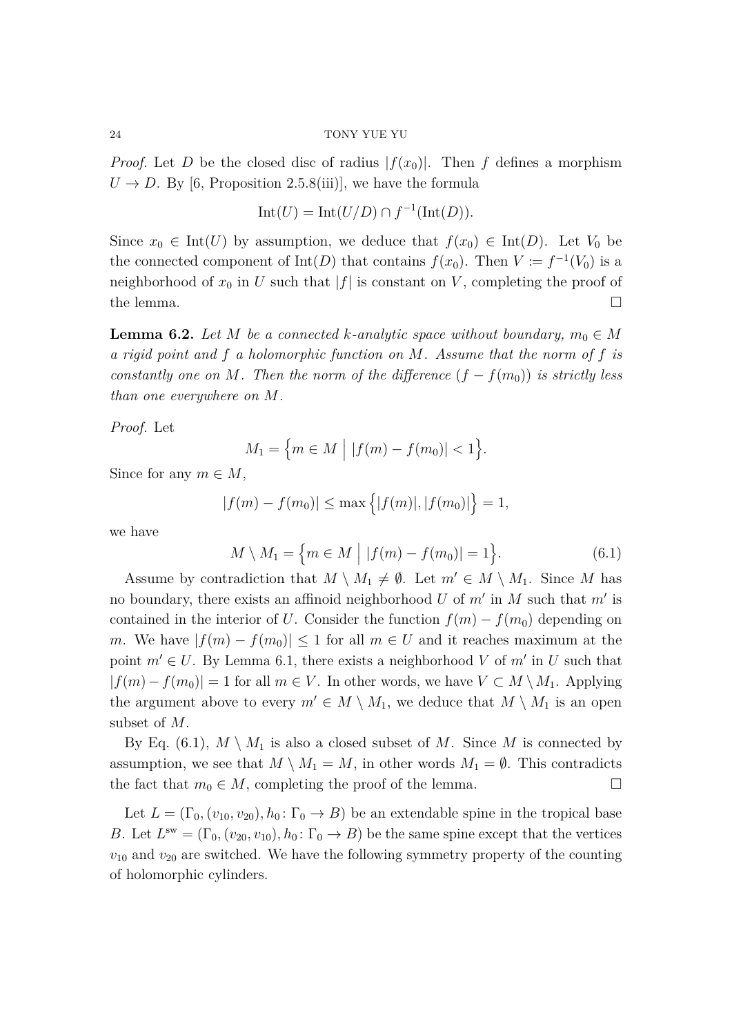*Proof.* Let *D* be the closed disc of radius  $|f(x_0)|$ . Then *f* defines a morphism  $U \rightarrow D$ . By [\[6,](#page-30-6) Proposition 2.5.8(iii)], we have the formula

$$
Int(U) = Int(U/D) \cap f^{-1}(\text{Int}(D)).
$$

Since  $x_0 \in \text{Int}(U)$  by assumption, we deduce that  $f(x_0) \in \text{Int}(D)$ . Let  $V_0$  be the connected component of  $\text{Int}(D)$  that contains  $f(x_0)$ . Then  $V := f^{-1}(V_0)$  is a neighborhood of  $x_0$  in U such that  $|f|$  is constant on V, completing the proof of the lemma.  $\Box$ 

<span id="page-23-1"></span>**Lemma 6.2.** *Let M be a connected k*-analytic space without boundary,  $m_0 \in M$ *a rigid point and f a holomorphic function on M. Assume that the norm of f is constantly one on M. Then the norm of the difference*  $(f - f(m_0))$  *is strictly less than one everywhere on M.*

*Proof.* Let

$$
M_1 = \{ m \in M \mid |f(m) - f(m_0)| < 1 \}.
$$

Since for any  $m \in M$ ,

$$
|f(m) - f(m_0)| \le \max\{|f(m)|, |f(m_0)|\} = 1,
$$

we have

<span id="page-23-0"></span>
$$
M \setminus M_1 = \{ m \in M \mid |f(m) - f(m_0)| = 1 \}. \tag{6.1}
$$

Assume by contradiction that  $M \setminus M_1 \neq \emptyset$ . Let  $m' \in M \setminus M_1$ . Since M has no boundary, there exists an affinoid neighborhood  $U$  of  $m'$  in  $M$  such that  $m'$  is contained in the interior of *U*. Consider the function  $f(m) - f(m_0)$  depending on *m*. We have  $|f(m) - f(m_0)| \leq 1$  for all  $m \in U$  and it reaches maximum at the point  $m' \in U$ . By Lemma [6.1,](#page-22-1) there exists a neighborhood *V* of  $m'$  in *U* such that  $|f(m) - f(m_0)| = 1$  for all  $m \in V$ . In other words, we have  $V \subset M \setminus M_1$ . Applying the argument above to every  $m' \in M \setminus M_1$ , we deduce that  $M \setminus M_1$  is an open subset of *M*.

By Eq. [\(6.1\)](#page-23-0),  $M \setminus M_1$  is also a closed subset of M. Since M is connected by assumption, we see that  $M \setminus M_1 = M$ , in other words  $M_1 = \emptyset$ . This contradicts the fact that  $m_0 \in M$ , completing the proof of the lemma.

Let  $L = (\Gamma_0, (v_{10}, v_{20}), h_0: \Gamma_0 \to B)$  be an extendable spine in the tropical base *B*. Let  $L^{\text{sw}} = (\Gamma_0, (v_{20}, v_{10}), h_0 \colon \Gamma_0 \to B)$  be the same spine except that the vertices  $v_{10}$  and  $v_{20}$  are switched. We have the following symmetry property of the counting of holomorphic cylinders.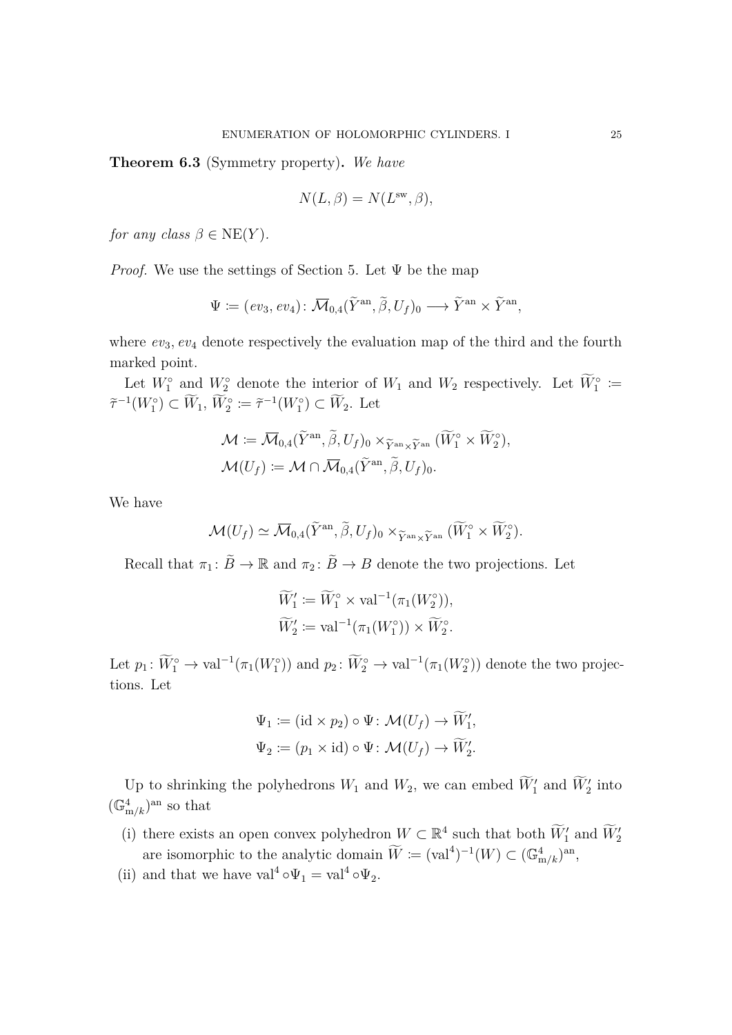<span id="page-24-0"></span>**Theorem 6.3** (Symmetry property)**.** *We have*

$$
N(L, \beta) = N(L^{\rm sw}, \beta),
$$

*for any class*  $\beta \in \text{NE}(Y)$ *.* 

*Proof.* We use the settings of Section [5.](#page-17-0) Let  $\Psi$  be the map

$$
\Psi := (ev_3, ev_4) \colon \overline{\mathcal{M}}_{0,4}(\widetilde{Y}^{\mathrm{an}}, \widetilde{\beta}, U_f)_0 \longrightarrow \widetilde{Y}^{\mathrm{an}} \times \widetilde{Y}^{\mathrm{an}},
$$

where  $ev_3$ ,  $ev_4$  denote respectively the evaluation map of the third and the fourth marked point.

Let  $W_1^{\circ}$  and  $W_2^{\circ}$  denote the interior of  $W_1$  and  $W_2$  respectively. Let  $\widetilde{W}_1^{\circ} \coloneqq$  $\tilde{\tau}^{-1}(W_1^{\circ}) \subset \tilde{W}_1, \, \tilde{W}_2^{\circ} := \tilde{\tau}^{-1}(W_1^{\circ}) \subset \tilde{W}_2.$  Let

$$
\mathcal{M} := \overline{\mathcal{M}}_{0,4}(\widetilde{Y}^{\mathrm{an}}, \widetilde{\beta}, U_f)_0 \times_{\widetilde{Y}^{\mathrm{an}} \times \widetilde{Y}^{\mathrm{an}}} (\widetilde{W}_1^{\circ} \times \widetilde{W}_2^{\circ}), \mathcal{M}(U_f) := \mathcal{M} \cap \overline{\mathcal{M}}_{0,4}(\widetilde{Y}^{\mathrm{an}}, \widetilde{\beta}, U_f)_0.
$$

We have

$$
\mathcal{M}(U_f) \simeq \overline{\mathcal{M}}_{0,4}(\widetilde{Y}^{\mathrm{an}}, \widetilde{\beta}, U_f)_0 \times_{\widetilde{Y}^{\mathrm{an}} \times \widetilde{Y}^{\mathrm{an}}} (\widetilde{W}_1^{\circ} \times \widetilde{W}_2^{\circ}).
$$

Recall that  $\pi_1: \tilde{B} \to \mathbb{R}$  and  $\pi_2: \tilde{B} \to B$  denote the two projections. Let

$$
\widetilde{W}'_1 \coloneqq \widetilde{W}_1^{\circ} \times \text{val}^{-1}(\pi_1(W_2^{\circ})),
$$
  

$$
\widetilde{W}'_2 \coloneqq \text{val}^{-1}(\pi_1(W_1^{\circ})) \times \widetilde{W}_2^{\circ}.
$$

Let  $p_1: \widetilde{W}_1^{\circ} \to \text{val}^{-1}(\pi_1(W_1^{\circ}))$  and  $p_2: \widetilde{W}_2^{\circ} \to \text{val}^{-1}(\pi_1(W_2^{\circ}))$  denote the two projections. Let

$$
\Psi_1 \coloneqq (\mathrm{id} \times p_2) \circ \Psi \colon \mathcal{M}(U_f) \to \widetilde{W}'_1,
$$
  

$$
\Psi_2 \coloneqq (p_1 \times \mathrm{id}) \circ \Psi \colon \mathcal{M}(U_f) \to \widetilde{W}'_2.
$$

Up to shrinking the polyhedrons  $W_1$  and  $W_2$ , we can embed  $\widetilde{W}'_1$  and  $\widetilde{W}'_2$  into  $(\mathbb{G}_{m/k}^4)^{\text{an}}$  so that

- (i) there exists an open convex polyhedron  $W \subset \mathbb{R}^4$  such that both  $\widetilde{W}_1'$  and  $\widetilde{W}_2'$ are isomorphic to the analytic domain  $\widetilde{W} := (\text{val}^4)^{-1}(W) \subset (\mathbb{G}_{m/k}^4)^{\text{an}}$ ,
- (ii) and that we have  $\text{val}^4 \circ \Psi_1 = \text{val}^4 \circ \Psi_2$ .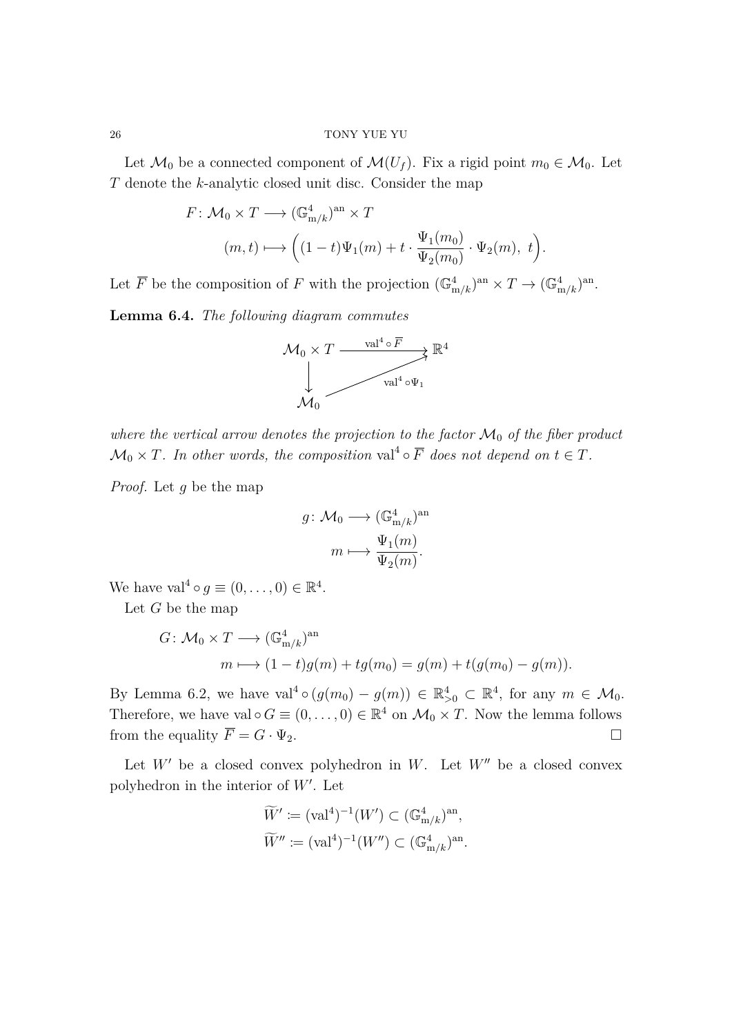Let  $\mathcal{M}_0$  be a connected component of  $\mathcal{M}(U_f)$ . Fix a rigid point  $m_0 \in \mathcal{M}_0$ . Let *T* denote the *k*-analytic closed unit disc. Consider the map

$$
F: \mathcal{M}_0 \times T \longrightarrow (\mathbb{G}_{m/k}^4)^{an} \times T
$$
  

$$
(m, t) \longmapsto \left( (1-t)\Psi_1(m) + t \cdot \frac{\Psi_1(m_0)}{\Psi_2(m_0)} \cdot \Psi_2(m), t \right).
$$

Let  $\overline{F}$  be the composition of  $F$  with the projection  $(\mathbb{G}_{m/k}^4)^{an} \times T \to (\mathbb{G}_{m/k}^4)^{an}$ .

<span id="page-25-0"></span>**Lemma 6.4.** *The following diagram commutes*



*where the vertical arrow denotes the projection to the factor*  $\mathcal{M}_0$  *of the fiber product*  $\mathcal{M}_0 \times T$ . In other words, the composition val<sup>4</sup>  $\circ \overline{F}$  does not depend on  $t \in T$ .

*Proof.* Let *g* be the map

$$
g \colon \mathcal{M}_0 \longrightarrow (\mathbb{G}^4_{m/k})^{\text{an}}
$$

$$
m \longmapsto \frac{\Psi_1(m)}{\Psi_2(m)}.
$$

We have val<sup>4</sup>  $\circ$   $g \equiv (0, \ldots, 0) \in \mathbb{R}^4$ .

Let *G* be the map

$$
G \colon \mathcal{M}_0 \times T \longrightarrow (\mathbb{G}_{m/k}^4)^{\text{an}} \n m \longmapsto (1-t)g(m) + tg(m_0) = g(m) + t(g(m_0) - g(m)).
$$

By Lemma [6.2,](#page-23-1) we have  $val^4 \circ (g(m_0) - g(m)) \in \mathbb{R}^4_{>0} \subset \mathbb{R}^4$ , for any  $m \in \mathcal{M}_0$ . Therefore, we have val  $\circ$  *G*  $\equiv$   $(0, \ldots, 0) \in \mathbb{R}^4$  on  $\mathcal{M}_0 \times T$ . Now the lemma follows from the equality  $\overline{F} = G \cdot \Psi_2$ .

Let  $W'$  be a closed convex polyhedron in  $W$ . Let  $W''$  be a closed convex polyhedron in the interior of W'. Let

$$
\widetilde{W}' \coloneqq (\text{val}^4)^{-1}(W') \subset (\mathbb{G}_{m/k}^4)^{\text{an}},
$$
  

$$
\widetilde{W}'' \coloneqq (\text{val}^4)^{-1}(W'') \subset (\mathbb{G}_{m/k}^4)^{\text{an}}.
$$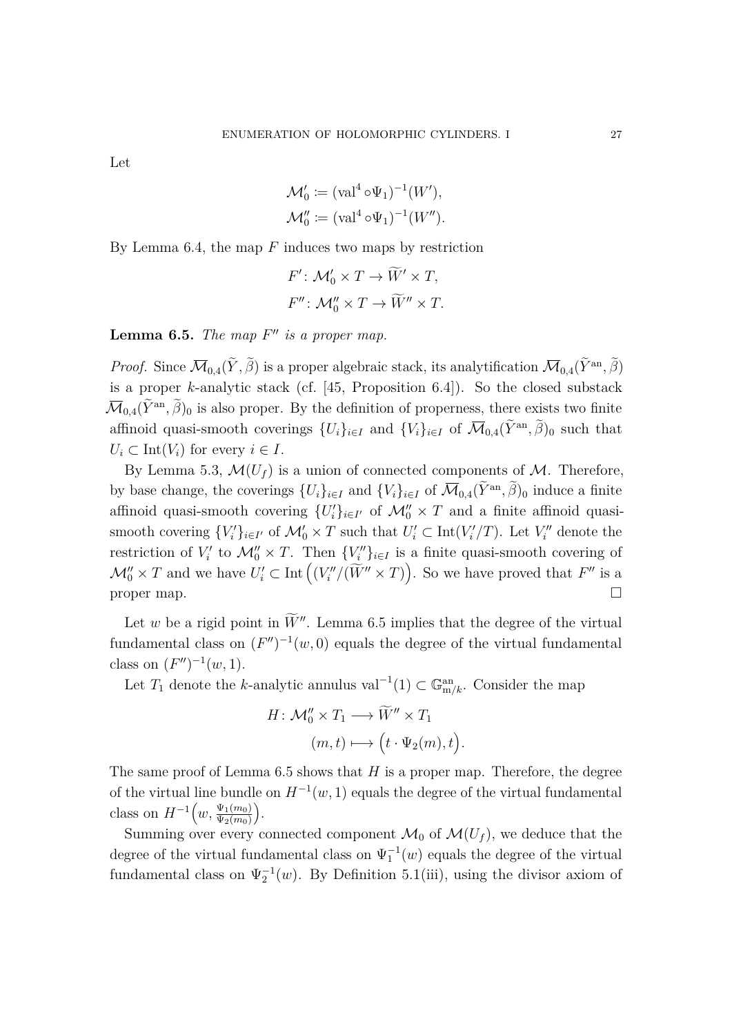Let

$$
\mathcal{M}'_0 \coloneqq (\text{val}^4 \circ \Psi_1)^{-1}(W'),
$$
  

$$
\mathcal{M}''_0 \coloneqq (\text{val}^4 \circ \Psi_1)^{-1}(W'').
$$

By Lemma [6.4,](#page-25-0) the map *F* induces two maps by restriction

$$
F': \mathcal{M}'_0 \times T \to \widetilde{W}' \times T,
$$
  

$$
F'': \mathcal{M}''_0 \times T \to \widetilde{W}'' \times T.
$$

<span id="page-26-0"></span>**Lemma 6.5.** *The map*  $F''$  *is a proper map.* 

*Proof.* Since  $\overline{\mathcal{M}}_{0,4}(\tilde{Y}, \tilde{\beta})$  is a proper algebraic stack, its analytification  $\overline{\mathcal{M}}_{0,4}(\tilde{Y}^{an}, \tilde{\beta})$ is a proper *k*-analytic stack (cf. [\[45,](#page-32-3) Proposition 6.4]). So the closed substack  $\overline{\mathcal{M}}_{0,4}(\tilde{Y}^{\text{an}}, \tilde{\beta})_0$  is also proper. By the definition of properness, there exists two finite affinoid quasi-smooth coverings  $\{U_i\}_{i\in I}$  and  $\{V_i\}_{i\in I}$  of  $\overline{\mathcal{M}}_{0,4}(\tilde{Y}^{\text{an}}, \tilde{\beta})_0$  such that  $U_i \subset \text{Int}(V_i)$  for every  $i \in I$ .

By Lemma [5.3,](#page-18-0)  $\mathcal{M}(U_f)$  is a union of connected components of  $\mathcal{M}$ . Therefore, by base change, the coverings  $\{U_i\}_{i\in I}$  and  $\{V_i\}_{i\in I}$  of  $\overline{\mathcal{M}}_{0,4}(\tilde{Y}^{\text{an}}, \tilde{\beta})_0$  induce a finite affinoid quasi-smooth covering  $\{U_i'\}_{i \in I'}$  of  $\mathcal{M}_0'' \times T$  and a finite affinoid quasismooth covering  $\{V_i'\}_{i \in I'}$  of  $\mathcal{M}'_0 \times T$  such that  $U'_i \subset \text{Int}(V'_i/T)$ . Let  $V''_i$  denote the restriction of  $V_i'$  to  $\mathcal{M}_0'' \times T$ . Then  $\{V_i''\}_{i \in I}$  is a finite quasi-smooth covering of  $\mathcal{M}_0'' \times T$  and we have  $U_i' \subset \text{Int}\left((V_i''/(\widetilde{W}'' \times T))\right)$ . So we have proved that  $F''$  is a proper map.  $\Box$ 

Let *w* be a rigid point in  $\widetilde{W}''$ . Lemma [6.5](#page-26-0) implies that the degree of the virtual fundamental class on  $(F'')^{-1}(w, 0)$  equals the degree of the virtual fundamental class on  $(F'')^{-1}(w, 1)$ .

Let  $T_1$  denote the *k*-analytic annulus val<sup>-1</sup>(1) ⊂  $\mathbb{G}_{m/k}^{an}$ . Consider the map

$$
H: \mathcal{M}_0'' \times T_1 \longrightarrow \widetilde{W}'' \times T_1
$$

$$
(m, t) \longmapsto \left(t \cdot \Psi_2(m), t\right).
$$

The same proof of Lemma [6.5](#page-26-0) shows that *H* is a proper map. Therefore, the degree of the virtual line bundle on  $H^{-1}(w, 1)$  equals the degree of the virtual fundamental class on  $H^{-1}(w, \frac{\Psi_1(m_0)}{\Psi_2(m_0)})$  $\Psi_2(m_0)$ .

Summing over every connected component  $\mathcal{M}_0$  of  $\mathcal{M}(U_f)$ , we deduce that the degree of the virtual fundamental class on  $\Psi_1^{-1}(w)$  equals the degree of the virtual fundamental class on  $\Psi_2^{-1}(w)$ . By Definition [5.1\(](#page-17-1)[iii\)](#page-17-3), using the divisor axiom of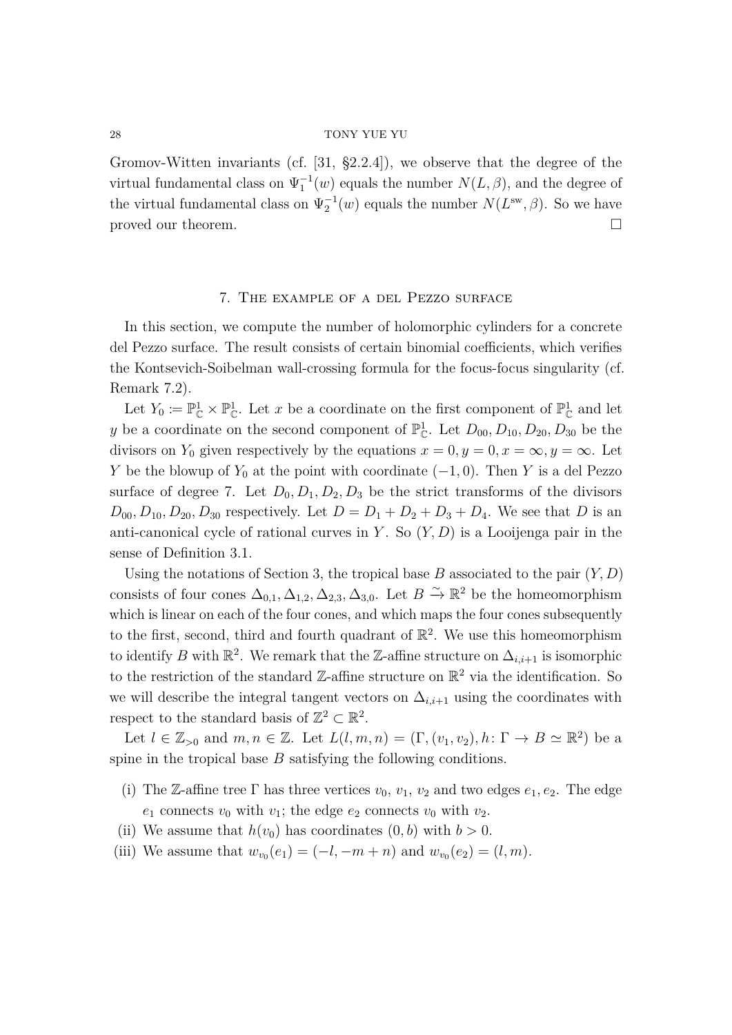Gromov-Witten invariants (cf. [\[31,](#page-31-15) §2.2.4]), we observe that the degree of the virtual fundamental class on  $\Psi_1^{-1}(w)$  equals the number  $N(L, \beta)$ , and the degree of the virtual fundamental class on  $\Psi_2^{-1}(w)$  equals the number  $N(L^{\text{sw}}, \beta)$ . So we have proved our theorem.

### 7. The example of a del Pezzo surface

<span id="page-27-0"></span>In this section, we compute the number of holomorphic cylinders for a concrete del Pezzo surface. The result consists of certain binomial coefficients, which verifies the Kontsevich-Soibelman wall-crossing formula for the focus-focus singularity (cf. Remark [7.2\)](#page-29-2).

Let  $Y_0 \coloneqq \mathbb{P}_{\mathbb{C}}^1 \times \mathbb{P}_{\mathbb{C}}^1$ . Let *x* be a coordinate on the first component of  $\mathbb{P}_{\mathbb{C}}^1$  and let *y* be a coordinate on the second component of  $\mathbb{P}_{\mathbb{C}}^1$ . Let  $D_{00}, D_{10}, D_{20}, D_{30}$  be the divisors on  $Y_0$  given respectively by the equations  $x = 0, y = 0, x = \infty, y = \infty$ . Let *Y* be the blowup of  $Y_0$  at the point with coordinate  $(-1, 0)$ . Then *Y* is a del Pezzo surface of degree 7. Let  $D_0, D_1, D_2, D_3$  be the strict transforms of the divisors  $D_{00}$ ,  $D_{10}$ ,  $D_{20}$ ,  $D_{30}$  respectively. Let  $D = D_1 + D_2 + D_3 + D_4$ . We see that *D* is an anti-canonical cycle of rational curves in *Y* . So (*Y, D*) is a Looijenga pair in the sense of Definition [3.1.](#page-7-2)

Using the notations of Section [3,](#page-7-0) the tropical base *B* associated to the pair (*Y, D*) consists of four cones  $\Delta_{0,1}, \Delta_{1,2}, \Delta_{2,3}, \Delta_{3,0}$ . Let  $B \stackrel{\sim}{\to} \mathbb{R}^2$  be the homeomorphism which is linear on each of the four cones, and which maps the four cones subsequently to the first, second, third and fourth quadrant of  $\mathbb{R}^2$ . We use this homeomorphism to identify *B* with  $\mathbb{R}^2$ . We remark that the Z-affine structure on  $\Delta_{i,i+1}$  is isomorphic to the restriction of the standard  $\mathbb{Z}\text{-affine}$  structure on  $\mathbb{R}^2$  via the identification. So we will describe the integral tangent vectors on  $\Delta_{i,i+1}$  using the coordinates with respect to the standard basis of  $\mathbb{Z}^2 \subset \mathbb{R}^2$ .

Let  $l \in \mathbb{Z}_{>0}$  and  $m, n \in \mathbb{Z}$ . Let  $L(l, m, n) = (\Gamma, (v_1, v_2), h: \Gamma \to B \simeq \mathbb{R}^2)$  be a spine in the tropical base *B* satisfying the following conditions.

- (i) The Z-affine tree  $\Gamma$  has three vertices  $v_0, v_1, v_2$  and two edges  $e_1, e_2$ . The edge  $e_1$  connects  $v_0$  with  $v_1$ ; the edge  $e_2$  connects  $v_0$  with  $v_2$ .
- (ii) We assume that  $h(v_0)$  has coordinates  $(0, b)$  with  $b > 0$ .
- (iii) We assume that  $w_{v_0}(e_1) = (-l, -m+n)$  and  $w_{v_0}(e_2) = (l, m)$ .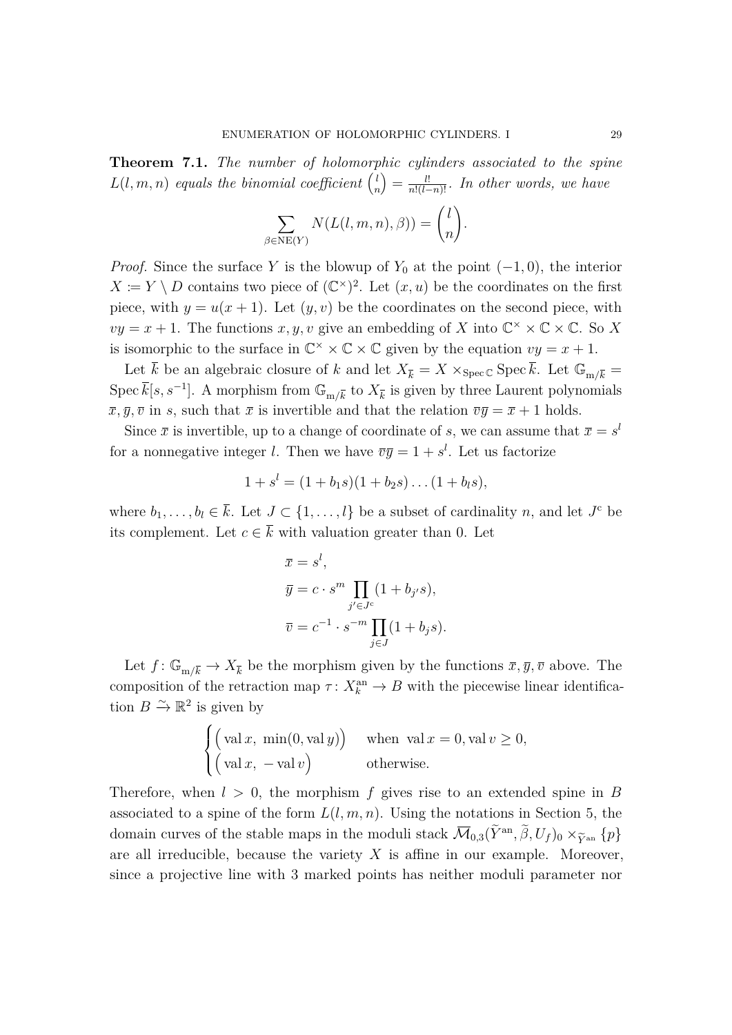<span id="page-28-0"></span>**Theorem 7.1.** *The number of holomorphic cylinders associated to the spine*  $L(l, m, n)$  *equals the binomial coefficient*  $\binom{l}{r}$ *n*  $\binom{n}{k} = \frac{l!}{n!(l-n)!}$ *. In other words, we have* 

$$
\sum_{\beta \in \text{NE}(Y)} N(L(l, m, n), \beta)) = \binom{l}{n}.
$$

*Proof.* Since the surface *Y* is the blowup of  $Y_0$  at the point  $(-1, 0)$ , the interior  $X := Y \setminus D$  contains two piece of  $(\mathbb{C}^{\times})^2$ . Let  $(x, u)$  be the coordinates on the first piece, with  $y = u(x + 1)$ . Let  $(y, v)$  be the coordinates on the second piece, with  $vy = x + 1$ . The functions  $x, y, v$  give an embedding of *X* into  $\mathbb{C}^{\times} \times \mathbb{C} \times \mathbb{C}$ . So *X* is isomorphic to the surface in  $\mathbb{C}^{\times} \times \mathbb{C} \times \mathbb{C}$  given by the equation  $vy = x + 1$ .

Let  $\bar{k}$  be an algebraic closure of  $k$  and let  $X_{\bar{k}} = X \times_{\text{Spec } \mathbb{C}} \text{Spec } \bar{k}$ . Let  $\mathbb{G}_{m/\bar{k}} =$ Spec  $\bar{k}[s, s^{-1}]$ . A morphism from  $\mathbb{G}_{m/\bar{k}}$  to  $X_{\bar{k}}$  is given by three Laurent polynomials  $\overline{x}, \overline{y}, \overline{v}$  in *s*, such that  $\overline{x}$  is invertible and that the relation  $\overline{v}\overline{y} = \overline{x} + 1$  holds.

Since  $\bar{x}$  is invertible, up to a change of coordinate of *s*, we can assume that  $\bar{x} = s^l$ for a nonnegative integer *l*. Then we have  $\overline{v}\overline{y} = 1 + s^l$ . Let us factorize

$$
1 + sl = (1 + b1s)(1 + b2s)...(1 + bls),
$$

where  $b_1, \ldots, b_l \in \overline{k}$ . Let  $J \subset \{1, \ldots, l\}$  be a subset of cardinality *n*, and let  $J^c$  be its complement. Let  $c \in \overline{k}$  with valuation greater than 0. Let

$$
\overline{x} = s^l,
$$
  
\n
$$
\overline{y} = c \cdot s^m \prod_{j' \in J^c} (1 + b_{j'}s),
$$
  
\n
$$
\overline{v} = c^{-1} \cdot s^{-m} \prod_{j \in J} (1 + b_js).
$$

Let  $f: \mathbb{G}_{m/\overline{k}} \to X_{\overline{k}}$  be the morphism given by the functions  $\overline{x}, \overline{y}, \overline{v}$  above. The composition of the retraction map  $\tau: X_k^{\text{an}} \to B$  with the piecewise linear identification  $B \xrightarrow{\sim} \mathbb{R}^2$  is given by

$$
\begin{cases}\n\left(\text{val } x, \text{ min}(0, \text{val } y)\right) & \text{when } \text{val } x = 0, \text{val } v \ge 0, \\
\left(\text{val } x, -\text{val } v\right) & \text{otherwise.} \n\end{cases}
$$

Therefore, when  $l > 0$ , the morphism f gives rise to an extended spine in B associated to a spine of the form  $L(l, m, n)$ . Using the notations in Section [5,](#page-17-0) the domain curves of the stable maps in the moduli stack  $\overline{\mathcal{M}}_{0,3}(\tilde{Y}^{\text{an}}, \tilde{\beta}, U_f)_0 \times_{\tilde{Y}^{\text{an}}} \{p\}$ are all irreducible, because the variety *X* is affine in our example. Moreover, since a projective line with 3 marked points has neither moduli parameter nor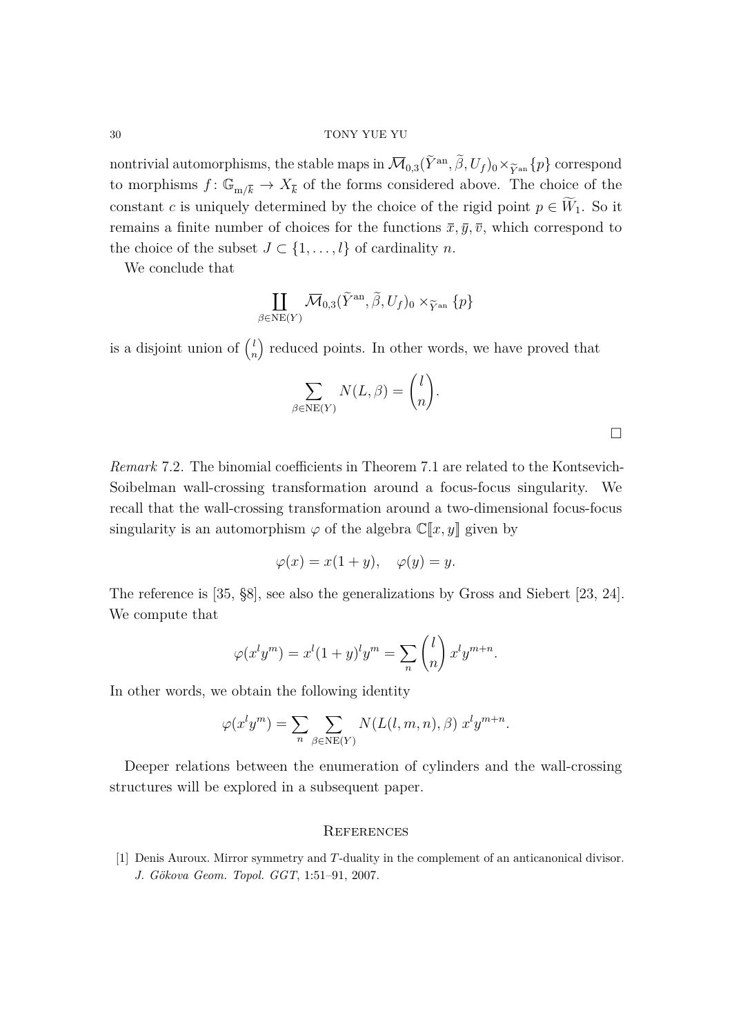nontrivial automorphisms, the stable maps in  $\overline{\mathcal{M}}_{0,3}(\tilde{Y}^{an}, \tilde{\beta}, U_f)_0 \times_{\widetilde{Y}^{an}} \{p\}$  correspond<br>to morphisms  $f: \mathbb{C} \longrightarrow Y$  of the forms considered above. The choice of the to morphisms  $f: \mathbb{G}_{m/\overline{k}} \to X_{\overline{k}}$  of the forms considered above. The choice of the constant *c* is uniquely determined by the choice of the rigid point  $p \in \widetilde{W}_1$ . So it remains a finite number of choices for the functions  $\bar{x}, \bar{y}, \bar{v}$ , which correspond to the choice of the subset  $J \subset \{1, \ldots, l\}$  of cardinality *n*.

We conclude that

$$
\coprod_{\beta \in \text{NE}(Y)} \overline{\mathcal{M}}_{0,3}(\widetilde{Y}^{\text{an}}, \widetilde{\beta}, U_f)_0 \times_{\widetilde{Y}^{\text{an}}} \{p\}
$$

is a disjoint union of  $\binom{l}{r}$ *n* reduced points. In other words, we have proved that

$$
\sum_{\beta \in \text{NE}(Y)} N(L, \beta) = \binom{l}{n}.
$$

 $\Box$ 

<span id="page-29-2"></span>*Remark* 7.2*.* The binomial coefficients in Theorem [7.1](#page-28-0) are related to the Kontsevich-Soibelman wall-crossing transformation around a focus-focus singularity. We recall that the wall-crossing transformation around a two-dimensional focus-focus singularity is an automorphism  $\varphi$  of the algebra  $\mathbb{C}[x, y]$  given by

$$
\varphi(x) = x(1+y), \quad \varphi(y) = y.
$$

The reference is [\[35,](#page-31-1) §8], see also the generalizations by Gross and Siebert [\[23,](#page-31-8) [24\]](#page-31-16). We compute that

$$
\varphi(x^l y^m) = x^l (1+y)^l y^m = \sum_n \binom{l}{n} x^l y^{m+n}.
$$

In other words, we obtain the following identity

$$
\varphi(x^ly^m) = \sum_n \sum_{\beta \in \text{NE}(Y)} N(L(l, m, n), \beta) x^ly^{m+n}.
$$

Deeper relations between the enumeration of cylinders and the wall-crossing structures will be explored in a subsequent paper.

#### <span id="page-29-0"></span>**REFERENCES**

<span id="page-29-1"></span>[1] Denis Auroux. Mirror symmetry and *T*-duality in the complement of an anticanonical divisor. *J. Gökova Geom. Topol. GGT*, 1:51–91, 2007.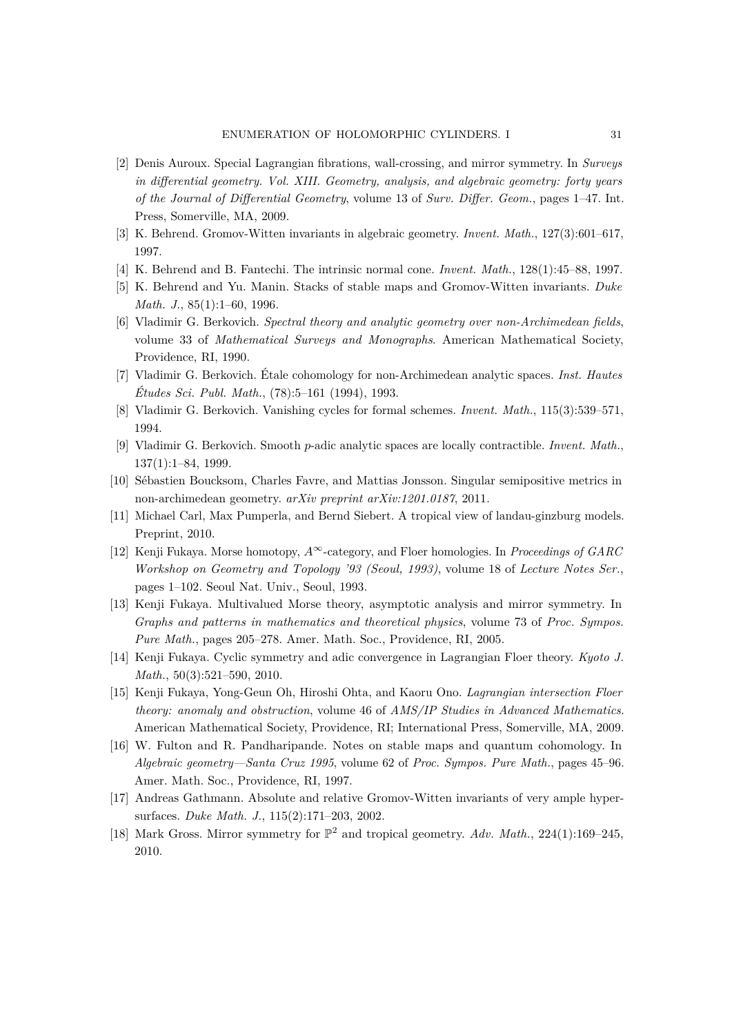- <span id="page-30-9"></span>[2] Denis Auroux. Special Lagrangian fibrations, wall-crossing, and mirror symmetry. In *Surveys in differential geometry. Vol. XIII. Geometry, analysis, and algebraic geometry: forty years of the Journal of Differential Geometry*, volume 13 of *Surv. Differ. Geom.*, pages 1–47. Int. Press, Somerville, MA, 2009.
- <span id="page-30-15"></span>[3] K. Behrend. Gromov-Witten invariants in algebraic geometry. *Invent. Math.*, 127(3):601–617, 1997.
- <span id="page-30-14"></span>[4] K. Behrend and B. Fantechi. The intrinsic normal cone. *Invent. Math.*, 128(1):45–88, 1997.
- <span id="page-30-13"></span>[5] K. Behrend and Yu. Manin. Stacks of stable maps and Gromov-Witten invariants. *Duke Math. J.*, 85(1):1–60, 1996.
- <span id="page-30-6"></span>[6] Vladimir G. Berkovich. *Spectral theory and analytic geometry over non-Archimedean fields*, volume 33 of *Mathematical Surveys and Monographs*. American Mathematical Society, Providence, RI, 1990.
- <span id="page-30-7"></span>[7] Vladimir G. Berkovich. Étale cohomology for non-Archimedean analytic spaces. *Inst. Hautes Études Sci. Publ. Math.*, (78):5–161 (1994), 1993.
- <span id="page-30-16"></span>[8] Vladimir G. Berkovich. Vanishing cycles for formal schemes. *Invent. Math.*, 115(3):539–571, 1994.
- <span id="page-30-8"></span>[9] Vladimir G. Berkovich. Smooth *p*-adic analytic spaces are locally contractible. *Invent. Math.*, 137(1):1–84, 1999.
- <span id="page-30-10"></span>[10] Sébastien Boucksom, Charles Favre, and Mattias Jonsson. Singular semipositive metrics in non-archimedean geometry. *arXiv preprint arXiv:1201.0187*, 2011.
- <span id="page-30-5"></span>[11] Michael Carl, Max Pumperla, and Bernd Siebert. A tropical view of landau-ginzburg models. Preprint, 2010.
- <span id="page-30-0"></span>[12] Kenji Fukaya. Morse homotopy, *A*<sup>∞</sup>-category, and Floer homologies. In *Proceedings of GARC Workshop on Geometry and Topology '93 (Seoul, 1993)*, volume 18 of *Lecture Notes Ser.*, pages 1–102. Seoul Nat. Univ., Seoul, 1993.
- <span id="page-30-2"></span>[13] Kenji Fukaya. Multivalued Morse theory, asymptotic analysis and mirror symmetry. In *Graphs and patterns in mathematics and theoretical physics*, volume 73 of *Proc. Sympos. Pure Math.*, pages 205–278. Amer. Math. Soc., Providence, RI, 2005.
- <span id="page-30-3"></span>[14] Kenji Fukaya. Cyclic symmetry and adic convergence in Lagrangian Floer theory. *Kyoto J. Math.*, 50(3):521–590, 2010.
- <span id="page-30-1"></span>[15] Kenji Fukaya, Yong-Geun Oh, Hiroshi Ohta, and Kaoru Ono. *Lagrangian intersection Floer theory: anomaly and obstruction*, volume 46 of *AMS/IP Studies in Advanced Mathematics*. American Mathematical Society, Providence, RI; International Press, Somerville, MA, 2009.
- <span id="page-30-12"></span>[16] W. Fulton and R. Pandharipande. Notes on stable maps and quantum cohomology. In *Algebraic geometry—Santa Cruz 1995*, volume 62 of *Proc. Sympos. Pure Math.*, pages 45–96. Amer. Math. Soc., Providence, RI, 1997.
- <span id="page-30-11"></span>[17] Andreas Gathmann. Absolute and relative Gromov-Witten invariants of very ample hypersurfaces. *Duke Math. J.*, 115(2):171–203, 2002.
- <span id="page-30-4"></span>[18] Mark Gross. Mirror symmetry for  $\mathbb{P}^2$  and tropical geometry. Adv. Math., 224(1):169-245, 2010.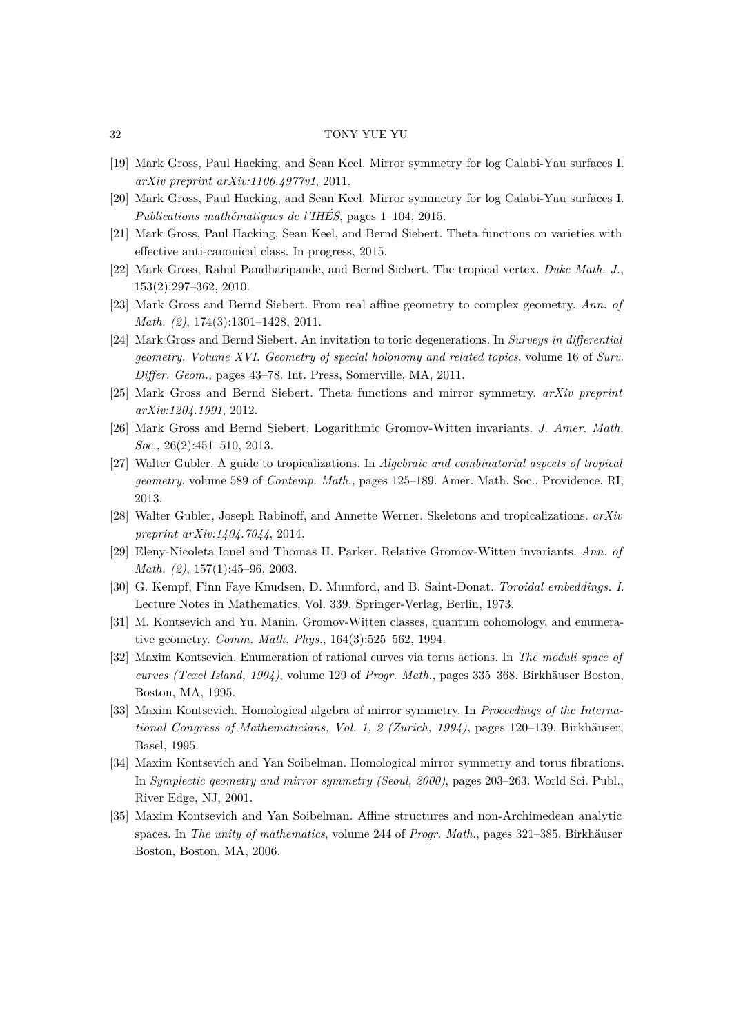- <span id="page-31-2"></span>[19] Mark Gross, Paul Hacking, and Sean Keel. Mirror symmetry for log Calabi-Yau surfaces I. *arXiv preprint arXiv:1106.4977v1*, 2011.
- <span id="page-31-6"></span>[20] Mark Gross, Paul Hacking, and Sean Keel. Mirror symmetry for log Calabi-Yau surfaces I. *Publications mathématiques de l'IHÉS*, pages 1–104, 2015.
- <span id="page-31-4"></span>[21] Mark Gross, Paul Hacking, Sean Keel, and Bernd Siebert. Theta functions on varieties with effective anti-canonical class. In progress, 2015.
- <span id="page-31-7"></span>[22] Mark Gross, Rahul Pandharipande, and Bernd Siebert. The tropical vertex. *Duke Math. J.*, 153(2):297–362, 2010.
- <span id="page-31-8"></span>[23] Mark Gross and Bernd Siebert. From real affine geometry to complex geometry. *Ann. of Math. (2)*, 174(3):1301–1428, 2011.
- <span id="page-31-16"></span>[24] Mark Gross and Bernd Siebert. An invitation to toric degenerations. In *Surveys in differential geometry. Volume XVI. Geometry of special holonomy and related topics*, volume 16 of *Surv. Differ. Geom.*, pages 43–78. Int. Press, Somerville, MA, 2011.
- <span id="page-31-3"></span>[25] Mark Gross and Bernd Siebert. Theta functions and mirror symmetry. *arXiv preprint arXiv:1204.1991*, 2012.
- <span id="page-31-13"></span>[26] Mark Gross and Bernd Siebert. Logarithmic Gromov-Witten invariants. *J. Amer. Math. Soc.*, 26(2):451–510, 2013.
- <span id="page-31-11"></span>[27] Walter Gubler. A guide to tropicalizations. In *Algebraic and combinatorial aspects of tropical geometry*, volume 589 of *Contemp. Math.*, pages 125–189. Amer. Math. Soc., Providence, RI, 2013.
- <span id="page-31-9"></span>[28] Walter Gubler, Joseph Rabinoff, and Annette Werner. Skeletons and tropicalizations. *arXiv preprint arXiv:1404.7044*, 2014.
- <span id="page-31-12"></span>[29] Eleny-Nicoleta Ionel and Thomas H. Parker. Relative Gromov-Witten invariants. *Ann. of Math. (2)*, 157(1):45–96, 2003.
- <span id="page-31-10"></span>[30] G. Kempf, Finn Faye Knudsen, D. Mumford, and B. Saint-Donat. *Toroidal embeddings. I*. Lecture Notes in Mathematics, Vol. 339. Springer-Verlag, Berlin, 1973.
- <span id="page-31-15"></span>[31] M. Kontsevich and Yu. Manin. Gromov-Witten classes, quantum cohomology, and enumerative geometry. *Comm. Math. Phys.*, 164(3):525–562, 1994.
- <span id="page-31-14"></span>[32] Maxim Kontsevich. Enumeration of rational curves via torus actions. In *The moduli space of curves (Texel Island, 1994)*, volume 129 of *Progr. Math.*, pages 335–368. Birkhäuser Boston, Boston, MA, 1995.
- <span id="page-31-0"></span>[33] Maxim Kontsevich. Homological algebra of mirror symmetry. In *Proceedings of the International Congress of Mathematicians, Vol. 1, 2 (Zürich, 1994)*, pages 120–139. Birkhäuser, Basel, 1995.
- <span id="page-31-5"></span>[34] Maxim Kontsevich and Yan Soibelman. Homological mirror symmetry and torus fibrations. In *Symplectic geometry and mirror symmetry (Seoul, 2000)*, pages 203–263. World Sci. Publ., River Edge, NJ, 2001.
- <span id="page-31-1"></span>[35] Maxim Kontsevich and Yan Soibelman. Affine structures and non-Archimedean analytic spaces. In *The unity of mathematics*, volume 244 of *Progr. Math.*, pages 321–385. Birkhäuser Boston, Boston, MA, 2006.